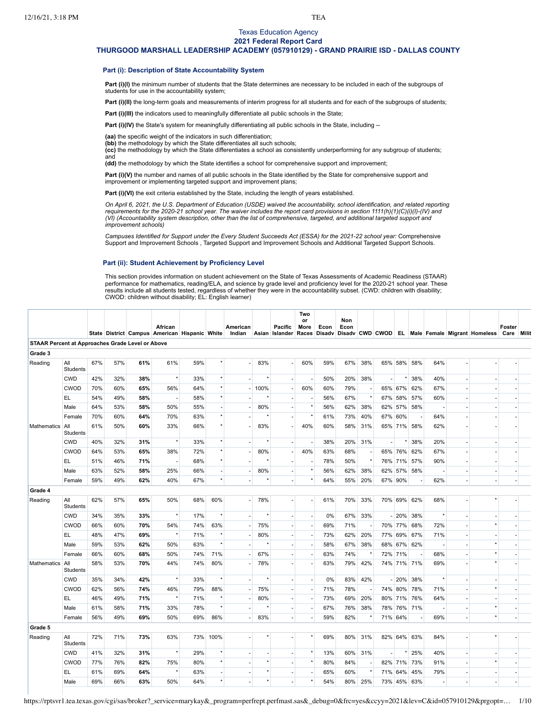## Texas Education Agency **2021 Federal Report Card**

# **THURGOOD MARSHALL LEADERSHIP ACADEMY (057910129) - GRAND PRAIRIE ISD - DALLAS COUNTY**

## **Part (i): Description of State Accountability System**

Part (i)(I) the minimum number of students that the State determines are necessary to be included in each of the subgroups of students for use in the accountability system;

Part (i)(II) the long-term goals and measurements of interim progress for all students and for each of the subgroups of students;

Part (i)(III) the indicators used to meaningfully differentiate all public schools in the State;

**Part (i)(IV)** the State's system for meaningfully differentiating all public schools in the State, including --

**(aa)** the specific weight of the indicators in such differentiation;

**(bb)** the methodology by which the State differentiates all such schools;

**(cc)** the methodology by which the State differentiates a school as consistently underperforming for any subgroup of students; and

**(dd)** the methodology by which the State identifies a school for comprehensive support and improvement;

Part (i)(V) the number and names of all public schools in the State identified by the State for comprehensive support and

improvement or implementing targeted support and improvement plans;

Part (i)(VI) the exit criteria established by the State, including the length of years established.

On April 6, 2021, the U.S. Department of Education (USDE) waived the accountability, school identification, and related reporting requirements for the 2020-21 school year. The waiver includes the report card provisions in section 1111(h)(1)(C)(i)(l)-(IV) and (VI) (Accountability system description, other than the list of comprehensive, targeted, and additional targeted support and *improvement schools)*

Campuses Identified for Support under the Every Student Succeeds Act (ESSA) for the 2021-22 school year: [Comprehensive](https://tea.texas.gov/sites/default/files/comprehensive_support_2021.xlsx) Support and Improvement Schools , Targeted Support and [Improvement](https://tea.texas.gov/sites/default/files/targeted_support_2021.xlsx) Schools and [Additional](https://tea.texas.gov/sites/default/files/additional_targeted_support_2021.xlsx) Targeted Support Schools.

# **Part (ii): Student Achievement by Proficiency Level**

This section provides information on student achievement on the State of Texas Assessments of Academic Readiness (STAAR) performance for mathematics, reading/ELA, and science by grade level and proficiency level for the 2020-21 school year. These<br>results include all students tested, regardless of whether they were in the accountability subse CWOD: children without disability; EL: English learner)

|                                                         |                        |     |     |     | African                                       |     |          | American |         | <b>Pacific</b>           | Two<br>or<br>More | Econ | Non<br>Econ |     |                          |         |             |     |                                                                                        | Foster |  |
|---------------------------------------------------------|------------------------|-----|-----|-----|-----------------------------------------------|-----|----------|----------|---------|--------------------------|-------------------|------|-------------|-----|--------------------------|---------|-------------|-----|----------------------------------------------------------------------------------------|--------|--|
| <b>STAAR Percent at Approaches Grade Level or Above</b> |                        |     |     |     | State District Campus American Hispanic White |     |          | Indian   |         |                          |                   |      |             |     |                          |         |             |     | Asian Islander Races Disady Disady CWD CWOD EL Male Female Migrant Homeless Care Milit |        |  |
| Grade 3                                                 |                        |     |     |     |                                               |     |          |          |         |                          |                   |      |             |     |                          |         |             |     |                                                                                        |        |  |
| Reading                                                 | All                    | 67% | 57% | 61% | 61%                                           | 59% |          |          | 83%     | ×.                       | 60%               | 59%  | 67%         | 38% |                          |         | 65% 58% 58% | 64% |                                                                                        |        |  |
|                                                         | Students               |     |     |     |                                               |     |          |          |         |                          |                   |      |             |     |                          |         |             |     |                                                                                        |        |  |
|                                                         | <b>CWD</b>             | 42% | 32% | 38% | $^\star$                                      | 33% |          |          |         | $\overline{\phantom{a}}$ |                   | 50%  | 20%         | 38% | $\overline{\phantom{a}}$ |         | 38%         | 40% |                                                                                        |        |  |
|                                                         | <b>CWOD</b>            | 70% | 60% | 65% | 56%                                           | 64% |          |          | 100%    | $\overline{\phantom{a}}$ | 60%               | 60%  | 79%         |     |                          | 65% 67% | 62%         | 67% |                                                                                        |        |  |
|                                                         | EL                     | 54% | 49% | 58% |                                               | 58% | $\star$  |          |         |                          |                   | 56%  | 67%         |     | 67%                      | 58%     | 57%         | 60% |                                                                                        |        |  |
|                                                         | Male                   | 64% | 53% | 58% | 50%                                           | 55% |          |          | 80%     | ×.                       |                   | 56%  | 62%         | 38% | 62%                      |         | 57% 58%     |     |                                                                                        |        |  |
|                                                         | Female                 | 70% | 60% | 64% | 70%                                           | 63% | $\star$  |          |         |                          |                   | 61%  | 73%         | 40% | 67%                      | 60%     |             | 64% |                                                                                        |        |  |
| Mathematics                                             | All<br>Students        | 61% | 50% | 60% | 33%                                           | 66% | $\star$  |          | 83%     |                          | 40%               | 60%  | 58%         | 31% |                          |         | 65% 71% 58% | 62% |                                                                                        |        |  |
|                                                         | <b>CWD</b>             | 40% | 32% | 31% | $^\star$                                      | 33% | $^\star$ |          | $\star$ | $\overline{\phantom{a}}$ |                   | 38%  | 20%         | 31% | $\sim$                   |         | 38%         | 20% |                                                                                        |        |  |
|                                                         | <b>CWOD</b>            | 64% | 53% | 65% | 38%                                           | 72% |          |          | 80%     | ×,                       | 40%               | 63%  | 68%         |     |                          |         | 65% 76% 62% | 67% |                                                                                        |        |  |
|                                                         | EL                     | 51% | 46% | 71% | $\overline{\phantom{a}}$                      | 68% | $\star$  |          |         |                          |                   | 78%  | 50%         |     |                          |         | 76% 71% 57% | 90% |                                                                                        |        |  |
|                                                         | Male                   | 63% | 52% | 58% | 25%                                           | 66% | ä,       |          | 80%     |                          |                   | 56%  | 62%         | 38% | 62%                      | 57%     | 58%         |     |                                                                                        |        |  |
|                                                         | Female                 | 59% | 49% | 62% | 40%                                           | 67% | $\star$  |          |         | ×                        |                   | 64%  | 55%         | 20% |                          | 67% 90% |             | 62% |                                                                                        |        |  |
| Grade 4                                                 |                        |     |     |     |                                               |     |          |          |         |                          |                   |      |             |     |                          |         |             |     |                                                                                        |        |  |
| Reading                                                 | All<br>Students        | 62% | 57% | 65% | 50%                                           | 68% | 60%      |          | 78%     |                          |                   | 61%  | 70%         | 33% |                          |         | 70% 69% 62% | 68% |                                                                                        |        |  |
|                                                         | <b>CWD</b>             | 34% | 35% | 33% | $^\star$                                      | 17% |          |          |         | ×                        |                   | 0%   | 67%         | 33% |                          |         | $-20\%$ 38% |     |                                                                                        |        |  |
|                                                         | CWOD                   | 66% | 60% | 70% | 54%                                           | 74% | 63%      |          | 75%     | $\overline{\phantom{a}}$ |                   | 69%  | 71%         |     |                          |         | 70% 77% 68% | 72% |                                                                                        |        |  |
|                                                         | EL.                    | 48% | 47% | 69% | $^\star$                                      | 71% |          |          | 80%     |                          |                   | 73%  | 62%         | 20% |                          |         | 77% 69% 67% | 71% |                                                                                        |        |  |
|                                                         | Male                   | 59% | 53% | 62% | 50%                                           | 63% | $\star$  |          |         |                          |                   | 58%  | 67%         | 38% | 68%                      | 67%     | 62%         |     |                                                                                        |        |  |
|                                                         | Female                 | 66% | 60% | 68% | 50%                                           | 74% | 71%      |          | 67%     | ÷.                       |                   | 63%  | 74%         |     |                          | 72% 71% |             | 68% |                                                                                        |        |  |
| Mathematics                                             | All<br>Students        | 58% | 53% | 70% | 44%                                           | 74% | 80%      |          | 78%     |                          |                   | 63%  | 79%         | 42% |                          |         | 74% 71% 71% | 69% |                                                                                        |        |  |
|                                                         | <b>CWD</b>             | 35% | 34% | 42% | $\star$                                       | 33% |          |          | $\star$ | ×.                       |                   | 0%   | 83%         | 42% |                          | $-20%$  | 38%         |     |                                                                                        |        |  |
|                                                         | CWOD                   | 62% | 56% | 74% | 46%                                           | 79% | 88%      |          | 75%     | $\sim$                   |                   | 71%  | 78%         |     |                          | 74% 80% | 78%         | 71% |                                                                                        |        |  |
|                                                         | EL.                    | 46% | 49% | 71% | $^\star$                                      | 71% |          |          | 80%     | $\sim$                   |                   | 73%  | 69%         | 20% |                          | 80% 71% | 76%         | 64% |                                                                                        |        |  |
|                                                         | Male                   | 61% | 58% | 71% | 33%                                           | 78% | $\star$  |          |         |                          |                   | 67%  | 76%         | 38% |                          |         | 78% 76% 71% |     |                                                                                        |        |  |
|                                                         | Female                 | 56% | 49% | 69% | 50%                                           | 69% | 86%      |          | 83%     |                          |                   | 59%  | 82%         |     |                          | 71% 64% |             | 69% |                                                                                        |        |  |
| Grade 5                                                 |                        |     |     |     |                                               |     |          |          |         |                          |                   |      |             |     |                          |         |             |     |                                                                                        |        |  |
| Reading                                                 | All<br><b>Students</b> | 72% | 71% | 73% | 63%                                           |     | 73% 100% |          |         |                          |                   | 69%  | 80%         | 31% |                          |         | 82% 64% 63% | 84% |                                                                                        |        |  |
|                                                         | <b>CWD</b>             | 41% | 32% | 31% | $^\star$                                      | 29% |          |          |         |                          | $\star$           | 13%  | 60%         | 31% | ÷                        |         | 25%         | 40% |                                                                                        |        |  |
|                                                         | CWOD                   | 77% | 76% | 82% | 75%                                           | 80% |          |          |         |                          |                   | 80%  | 84%         |     |                          | 82% 71% | 73%         | 91% |                                                                                        |        |  |
|                                                         | EL                     | 61% | 69% | 64% | $\star$                                       | 63% |          |          | $\star$ | $\sim$                   |                   | 65%  | 60%         |     |                          | 71% 64% | 45%         | 79% |                                                                                        |        |  |
|                                                         | Male                   | 69% | 66% | 63% | 50%                                           | 64% | $\star$  |          | $\star$ |                          | $\star$           | 54%  | 80%         | 25% |                          |         | 73% 45% 63% |     |                                                                                        |        |  |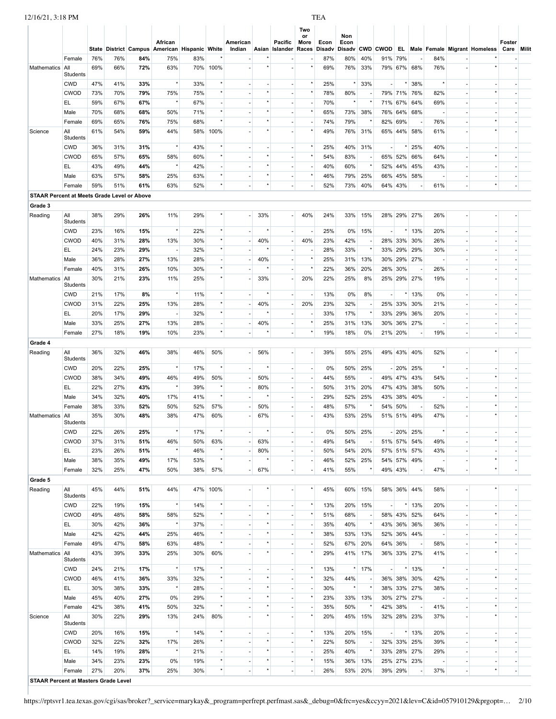|                                                    |                        |            |            |            |                                                          |            |                                      |                    |         |                                        | Two        |            |                                |                          |        |                            |                                         |                          |                                        |                      |  |
|----------------------------------------------------|------------------------|------------|------------|------------|----------------------------------------------------------|------------|--------------------------------------|--------------------|---------|----------------------------------------|------------|------------|--------------------------------|--------------------------|--------|----------------------------|-----------------------------------------|--------------------------|----------------------------------------|----------------------|--|
|                                                    |                        |            |            |            | African<br>State District Campus American Hispanic White |            |                                      | American<br>Indian |         | Pacific<br>Asian Islander Races Disadv | or<br>More | Econ       | Non<br>Econ<br>Disadv CWD CWOD |                          |        |                            |                                         |                          | <b>EL Male Female Migrant Homeless</b> | Foster<br>Care Milit |  |
|                                                    | Female                 | 76%        | 76%        | 84%        | 75%                                                      | 83%        |                                      |                    |         |                                        |            | 87%        | 80%                            | 40%                      |        | 91% 79%                    |                                         | 84%                      |                                        |                      |  |
| Mathematics                                        | All                    | 69%        | 66%        | 72%        | 63%                                                      |            | 70% 100%                             |                    |         |                                        |            | 69%        | 76%                            | 33%                      |        | 79% 67% 68%                |                                         | 76%                      |                                        |                      |  |
|                                                    | Students<br><b>CWD</b> | 47%        | 41%        | 33%        | $^\star$                                                 | 33%        | $^\star$                             |                    |         | $\overline{\phantom{a}}$               |            | 25%        | $^\star$                       | 33%                      |        |                            | 38%                                     | $\star$                  |                                        |                      |  |
|                                                    | <b>CWOD</b>            | 73%        | 70%        | 79%        | 75%                                                      | 75%        | $\star$                              |                    |         |                                        |            | 78%        | 80%                            |                          |        | 79% 71% 76%                |                                         | 82%                      |                                        |                      |  |
|                                                    | EL.                    | 59%        | 67%        | 67%        | $^\star$                                                 | 67%        | $\overline{\phantom{a}}$             |                    |         |                                        |            | 70%        | $^\star$                       |                          |        | 71% 67%                    | 64%                                     | 69%                      |                                        |                      |  |
|                                                    | Male                   | 70%        | 68%        | 68%        | 50%                                                      | 71%        | $^\star$                             |                    |         |                                        |            | 65%        | 73%                            | 38%                      |        | 76% 64% 68%                |                                         |                          |                                        |                      |  |
|                                                    | Female                 | 69%        | 65%        | 76%        | 75%                                                      | 68%        | $\star$                              |                    |         | $\overline{\phantom{m}}$               |            | 74%        | 79%                            |                          |        | 82% 69%                    |                                         | 76%                      |                                        |                      |  |
| Science                                            | All<br>Students        | 61%        | 54%        | 59%        | 44%                                                      | 58%        | 100%                                 |                    |         |                                        |            | 49%        |                                | 76% 31%                  |        | 65% 44% 58%                |                                         | 61%                      |                                        |                      |  |
|                                                    | <b>CWD</b>             | 36%        | 31%        | 31%        | $^\star$                                                 | 43%        |                                      |                    |         |                                        |            | 25%        | 40%                            | 31%                      | $\sim$ | $\star$                    | 25%                                     | 40%                      |                                        |                      |  |
|                                                    | <b>CWOD</b>            | 65%        | 57%        | 65%        | 58%                                                      | 60%        | $^\star$                             |                    |         |                                        |            | 54%        | 83%                            |                          |        | 65% 52%                    | 66%                                     | 64%                      |                                        |                      |  |
|                                                    | EL.                    | 43%        | 49%        | 44%        | $^\star$                                                 | 42%        | ÷,                                   |                    |         |                                        |            | 40%        | 60%                            |                          | 52%    | 44%                        | 45%                                     | 43%                      |                                        |                      |  |
|                                                    | Male                   | 63%        | 57%        | 58%        | 25%                                                      | 63%        | $^\star$                             |                    | $\star$ | $\overline{\phantom{a}}$               |            | 46%        | 79%                            | 25%                      | 66%    | 45%                        | 58%                                     |                          |                                        |                      |  |
| <b>STAAR Percent at Meets Grade Level or Above</b> | Female                 | 59%        | 51%        | 61%        | 63%                                                      | 52%        |                                      |                    |         |                                        |            | 52%        | 73%                            | 40%                      |        | 64% 43%                    |                                         | 61%                      |                                        |                      |  |
| Grade 3                                            |                        |            |            |            |                                                          |            |                                      |                    |         |                                        |            |            |                                |                          |        |                            |                                         |                          |                                        |                      |  |
| Reading                                            | All                    | 38%        | 29%        | 26%        | 11%                                                      | 29%        |                                      |                    | 33%     |                                        | 40%        | 24%        | 33%                            | 15%                      |        | 28% 29% 27%                |                                         | 26%                      |                                        |                      |  |
|                                                    | Students               |            |            |            |                                                          |            |                                      |                    |         |                                        |            |            |                                |                          |        |                            |                                         |                          |                                        |                      |  |
|                                                    | <b>CWD</b>             | 23%        | 16%        | 15%        | $^\star$                                                 | 22%        | $^\star$<br>$^\star$                 |                    | $\star$ | $\sim$                                 |            | 25%        | 0%                             | 15%                      | ×.     | $^\star$                   | 13%                                     | 20%                      |                                        |                      |  |
|                                                    | <b>CWOD</b><br>EL.     | 40%<br>24% | 31%<br>23% | 28%<br>29% | 13%<br>$\sim$                                            | 30%<br>32% | $\star$                              |                    | 40%     | $\sim$<br>$\sim$                       | 40%        | 23%<br>28% | 42%<br>33%                     | $\star$                  |        | 28% 33%<br>33% 29%         | 30%<br>29%                              | 26%<br>30%               |                                        |                      |  |
|                                                    | Male                   | 36%        | 28%        | 27%        | 13%                                                      | 28%        | ÷,                                   |                    | 40%     | $\sim$                                 |            | 25%        | 31%                            | 13%                      | 30%    | 29%                        | 27%                                     |                          |                                        |                      |  |
|                                                    | Female                 | 40%        | 31%        | 26%        | 10%                                                      | 30%        | $\star$                              |                    |         | $\sim$                                 |            | 22%        | 36%                            | 20%                      | 26%    | 30%                        |                                         | 26%                      |                                        |                      |  |
| Mathematics                                        | All                    | 30%        | 21%        | 23%        | 11%                                                      | 25%        | $^\star$                             |                    | 33%     | $\sim$                                 | 20%        | 22%        | 25%                            | 8%                       |        | 25% 29% 27%                |                                         | 19%                      |                                        |                      |  |
|                                                    | Students               |            |            |            | $^\star$                                                 |            | $^\star$                             |                    |         | ÷.                                     |            |            |                                |                          | ×.     | $^\star$                   |                                         |                          |                                        |                      |  |
|                                                    | <b>CWD</b><br>CWOD     | 21%<br>31% | 17%<br>22% | 8%<br>25%  | 13%                                                      | 11%<br>28% | $^\star$                             |                    | 40%     | $\overline{\phantom{a}}$               | 20%        | 13%<br>23% | 0%<br>32%                      | 8%<br><b>.</b>           |        | 25% 33%                    | 13%<br>30%                              | 0%<br>21%                |                                        |                      |  |
|                                                    | EL.                    | 20%        | 17%        | 29%        | $\overline{\phantom{a}}$                                 | 32%        | $^\star$                             |                    |         |                                        |            | 33%        | 17%                            |                          | 33%    | 29%                        | 36%                                     | 20%                      |                                        |                      |  |
|                                                    | Male                   | 33%        | 25%        | 27%        | 13%                                                      | 28%        | $\overline{\phantom{a}}$             |                    | 40%     | $\overline{\phantom{a}}$               |            | 25%        | 31%                            | 13%                      | 30%    | 36% 27%                    |                                         |                          |                                        |                      |  |
|                                                    | Female                 | 27%        | 18%        | 19%        | 10%                                                      | 23%        | $^\star$                             |                    |         |                                        |            | 19%        | 18%                            | 0%                       |        | 21% 20%                    |                                         | 19%                      |                                        |                      |  |
| Grade 4                                            |                        |            |            |            |                                                          |            |                                      |                    |         |                                        |            |            |                                |                          |        |                            |                                         |                          |                                        |                      |  |
| Reading                                            | All<br>Students        | 36%        | 32%        | 46%        | 38%                                                      | 46%        | 50%                                  |                    | 56%     |                                        |            | 39%        | 55%                            | 25%                      |        | 49% 43% 40%                |                                         | 52%                      |                                        |                      |  |
|                                                    | <b>CWD</b>             | 20%        | 22%        | 25%        | $^\star$                                                 | 17%        | $\star$                              |                    | $\star$ |                                        |            | 0%         | 50%                            | 25%                      |        | $-20\%$ 25%                |                                         | $\star$                  |                                        |                      |  |
|                                                    | <b>CWOD</b>            | 38%        | 34%        | 49%        | 46%                                                      | 49%        | 50%                                  |                    | 50%     | ×.                                     |            | 44%        | 55%                            |                          |        | 49% 47% 43%                |                                         | 54%                      |                                        |                      |  |
|                                                    | EL                     | 22%        | 27%        | 43%        | $\star$                                                  | 39%        | $\star$                              |                    | 80%     |                                        |            | 50%        | 31%                            | 20%                      |        | 47% 43%                    | 38%                                     | 50%                      |                                        |                      |  |
|                                                    | Male                   | 34%        | 32%        | 40%        | 17%                                                      | 41%        | $\star$                              |                    |         | ÷.                                     |            | 29%        | 52%                            | 25%                      | 43%    | 38% 40%                    |                                         | $\overline{\phantom{a}}$ |                                        |                      |  |
|                                                    | Female                 | 38%        | 33%        | 52%        | 50%                                                      | 52%        | 57%                                  |                    | 50%     | $\sim$                                 |            | 48%        | 57%                            |                          |        | 54% 50%                    |                                         | 52%                      | $\star$                                |                      |  |
| Mathematics                                        | All<br>Students        | 35%        | 30%        | 48%        | 38%                                                      | 47%        | 60%                                  |                    | 67%     |                                        |            | 43%        | 53%                            | 25%                      |        | 51% 51% 49%                |                                         | 47%                      |                                        |                      |  |
|                                                    | <b>CWD</b>             | 22%        | 26%        | 25%        |                                                          | 17%        |                                      |                    |         |                                        |            | 0%         | 50%                            | 25%                      |        | $-20\%$ 25%                |                                         |                          |                                        |                      |  |
|                                                    | <b>CWOD</b>            | 37%        | 31%        | 51%        | 46%                                                      | 50%        | 63%                                  |                    | 63%     |                                        |            | 49%        | 54%                            |                          |        | 51% 57%                    | 54%                                     | 49%                      |                                        |                      |  |
|                                                    | EL.                    | 23%        | 26%        | 51%        | $\pmb{\star}$                                            | 46%        |                                      |                    | 80%     | $\overline{\phantom{a}}$               |            | 50%        | 54%                            | 20%                      |        | 57% 51%                    | 57%                                     | 43%                      |                                        |                      |  |
|                                                    | Male                   | 38%        | 35%        | 49%        | 17%                                                      | 53%        | $\star$                              |                    |         | $\sim$                                 |            | 46%        | 52%                            | 25%                      |        | 54% 57% 49%                |                                         |                          |                                        |                      |  |
|                                                    | Female                 | 32%        | 25%        | 47%        | 50%                                                      | 38%        | 57%                                  |                    | 67%     |                                        |            | 41%        | 55%                            |                          |        | 49% 43%                    |                                         | 47%                      |                                        |                      |  |
| Grade 5<br>Reading                                 | All                    | 45%        | 44%        | 51%        | 44%                                                      |            | 47% 100%                             |                    |         | $\sim$                                 |            | 45%        | 60%                            | 15%                      |        |                            | 58% 36% 44%                             | 58%                      |                                        |                      |  |
|                                                    | Students               |            |            |            |                                                          |            |                                      |                    |         |                                        |            |            |                                |                          |        |                            |                                         |                          |                                        |                      |  |
|                                                    | <b>CWD</b>             | 22%        | 19%        | 15%        | $^\star$                                                 | 14%        | $\star$                              |                    |         |                                        |            | 13%        | 20%                            | 15%                      |        | $^{\star}$                 | 13%                                     | 20%                      |                                        |                      |  |
|                                                    | <b>CWOD</b>            | 49%        | 48%        | 58%        | 58%                                                      | 52%        | $^\star$                             |                    |         |                                        |            | 51%        | 68%                            |                          |        | 58% 43% 52%                |                                         | 64%                      |                                        |                      |  |
|                                                    | EL                     | 30%        | 42%        | 36%        | $^\star$                                                 | 37%        | $\overline{\phantom{a}}$<br>$^\star$ |                    |         | $\overline{\phantom{a}}$               |            | 35%        | 40%                            |                          |        | 43% 36% 36%                |                                         | 36%                      |                                        |                      |  |
|                                                    | Male<br>Female         | 42%<br>49% | 42%<br>47% | 44%<br>58% | 25%<br>63%                                               | 46%<br>48% | $^\star$                             |                    |         | $\sim$<br>$\overline{\phantom{a}}$     |            | 38%<br>52% | 67%                            | 53% 13%<br>20%           | 64%    | 36%                        | 52% 36% 44%<br>$\overline{\phantom{a}}$ | $\sim$<br>58%            |                                        |                      |  |
| Mathematics                                        | All                    | 43%        | 39%        | 33%        | 25%                                                      | 30%        | 60%                                  |                    |         |                                        |            | 29%        | 41%                            | 17%                      |        | 36% 33% 27%                |                                         | 41%                      |                                        |                      |  |
|                                                    | Students               |            |            |            |                                                          |            |                                      |                    |         |                                        |            |            |                                |                          |        |                            |                                         |                          |                                        |                      |  |
|                                                    | <b>CWD</b>             | 24%        | 21%        | 17%        | $^\star$                                                 | 17%        | $\star$                              |                    |         | $\sim$                                 |            | 13%        |                                | $*$ 17%                  | $\sim$ | $\star$                    | 13%                                     | $\star$                  |                                        |                      |  |
|                                                    | <b>CWOD</b>            | 46%        | 41%        | 36%        | 33%<br>$^\star$                                          | 32%        | $^\star$                             |                    |         | $\overline{\phantom{a}}$               |            | 32%        | 44%                            |                          |        | 36% 38% 30%                |                                         | 42%                      |                                        |                      |  |
|                                                    | EL.<br>Male            | 30%<br>45% | 38%<br>40% | 33%<br>27% | 0%                                                       | 28%<br>29% | ÷.<br>$^\star$                       |                    |         | $\sim$                                 |            | 30%<br>23% | $^\star$                       | 33% 13%                  |        | 38% 33% 27%                | 30% 27% 27%                             | 38%                      |                                        |                      |  |
|                                                    | Female                 | 42%        | 38%        | 41%        | 50%                                                      | 32%        | $^\star$                             |                    |         | $\sim$                                 |            | 35%        | 50%                            |                          |        | 42% 38%                    | $\sim$                                  | 41%                      |                                        |                      |  |
| Science                                            | All                    | 30%        | 22%        | 29%        | 13%                                                      | 24%        | 80%                                  |                    |         |                                        |            | 20%        |                                | 45% 15%                  |        |                            | 32% 28% 23%                             | 37%                      |                                        |                      |  |
|                                                    | Students               |            |            |            |                                                          |            |                                      |                    |         |                                        |            |            |                                |                          |        |                            |                                         |                          |                                        |                      |  |
|                                                    | <b>CWD</b>             | 20%        | 16%        | 15%        | $^\star$                                                 | 14%        | $^\star$<br>$\star$                  |                    |         | $\overline{a}$                         |            | 13%        |                                | 20% 15%                  |        | $^\star$                   | 13%                                     | 20%                      |                                        |                      |  |
|                                                    | <b>CWOD</b><br>EL.     | 32%<br>14% | 22%<br>19% | 32%<br>28% | 17%<br>$^\star$                                          | 26%<br>21% |                                      |                    |         |                                        |            | 22%        | 50%<br>40%                     | $\overline{\phantom{a}}$ |        | 32% 33% 25%<br>33% 28% 27% |                                         | 39%<br>29%               |                                        |                      |  |
|                                                    | Male                   | 34%        | 23%        | 23%        | 0%                                                       | 19%        | $^\star$                             |                    |         | $\overline{\phantom{a}}$               |            | 25%<br>15% | 36%                            | 13%                      |        | 25% 27% 23%                |                                         |                          |                                        |                      |  |
|                                                    | Female                 | 27%        | 20%        | 37%        | 25%                                                      | 30%        | $^\star$                             |                    | $\star$ |                                        |            | 26%        |                                | 53% 20%                  |        | 39% 29%                    |                                         | 37%                      | $\star$                                |                      |  |
| <b>STAAR Percent at Masters Grade Level</b>        |                        |            |            |            |                                                          |            |                                      |                    |         |                                        |            |            |                                |                          |        |                            |                                         |                          |                                        |                      |  |
|                                                    |                        |            |            |            |                                                          |            |                                      |                    |         |                                        |            |            |                                |                          |        |                            |                                         |                          |                                        |                      |  |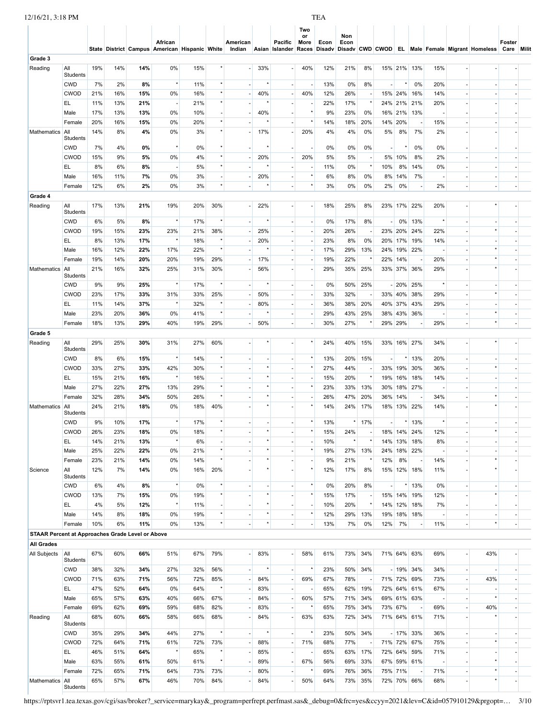| 12/16/21, 3:18 PM | <b>TEA</b> |
|-------------------|------------|
|                   |            |
|                   |            |

Mathematics

All<br>Students

|         |                 |     |     |     | African<br>State District Campus American Hispanic White |     | American<br>Indian |     | Pacific<br>Asian Islander Races Disady Disady CWD CWOD | Two<br>or<br>More | Econ | Non<br>Econ |    |         | EL. |     |     | Male Female Migrant Homeless | Foster<br>Care | <b>Milit</b> |
|---------|-----------------|-----|-----|-----|----------------------------------------------------------|-----|--------------------|-----|--------------------------------------------------------|-------------------|------|-------------|----|---------|-----|-----|-----|------------------------------|----------------|--------------|
| Grade 3 |                 |     |     |     |                                                          |     |                    |     |                                                        |                   |      |             |    |         |     |     |     |                              |                |              |
| Reading | All<br>Students | 19% | 14% | 14% | 0%                                                       | 15% |                    | 33% |                                                        | 40%               | 12%  | 21%         | 8% | 15% 21% |     | 13% | 15% |                              |                |              |

| Reading                                                 | All<br>Students        | 19%        | 14%       | 14%        | 0%                       | 15%        |                                     |    | 33%      |                          | 40%     | 12%       | 21%        | 8%                       |                          | 15% 21% 13%       |                          | 15%        |                          |  |
|---------------------------------------------------------|------------------------|------------|-----------|------------|--------------------------|------------|-------------------------------------|----|----------|--------------------------|---------|-----------|------------|--------------------------|--------------------------|-------------------|--------------------------|------------|--------------------------|--|
|                                                         | <b>CWD</b>             | 7%         | 2%        | 8%         | $^\star$                 | 11%        | $^\star$                            |    | $\star$  |                          |         | 13%       | 0%         | 8%                       | $\sim$                   |                   | 0%                       | 20%        |                          |  |
|                                                         | <b>CWOD</b>            | 21%        | 16%       | 15%        | 0%                       | 16%        | $^\star$                            |    | 40%      |                          | 40%     | 12%       | 26%        |                          |                          | 15% 24%           | 16%                      | 14%        |                          |  |
|                                                         | EL                     | 11%        | 13%       | 21%        | $\overline{\phantom{a}}$ | 21%        | $^\star$                            |    |          |                          |         | 22%       | 17%        |                          |                          | 24% 21%           | 21%                      | 20%        |                          |  |
|                                                         | Male                   | 17%        | 13%       | 13%        | 0%                       | 10%        | $\overline{\phantom{a}}$            |    | 40%      |                          |         | 9%        | 23%        | 0%                       |                          | 16% 21%           | 13%                      |            |                          |  |
|                                                         | Female                 | 20%        | 16%       | 15%        | 0%                       | 20%        | $^\star$                            |    |          |                          |         | 14%       | 18%        | 20%                      | 14% 20%                  |                   | $\overline{\phantom{a}}$ | 15%        |                          |  |
| Mathematics                                             | All                    | 14%        | 8%        | 4%         | 0%                       | 3%         | $^\star$                            |    | 17%      |                          | 20%     | 4%        | 4%         | 0%                       | 5%                       | 8%                | 7%                       | 2%         |                          |  |
|                                                         | Students               |            |           |            |                          |            |                                     |    |          |                          |         |           |            |                          |                          |                   |                          |            |                          |  |
|                                                         | <b>CWD</b>             | 7%         | 4%        | 0%         | $^\star$                 | 0%         | $^\star$                            |    | $\star$  |                          |         | 0%        | 0%         | 0%                       |                          |                   | 0%                       | 0%         |                          |  |
|                                                         | <b>CWOD</b>            | 15%        | 9%        | 5%         | 0%                       | 4%         | $^\star$                            |    | 20%      |                          | 20%     | 5%        | 5%         | $\sim$                   |                          | 5% 10%            | 8%                       | 2%         |                          |  |
|                                                         | EL                     | 8%         | 6%        | 8%         |                          | 5%         | $\star$                             |    |          |                          |         | 11%       | 0%         | $\star$                  | 10%                      | 8%                | 14%                      | 0%         |                          |  |
|                                                         | Male                   | 16%        | 11%       | 7%         | 0%                       | 3%         | $\overline{\phantom{a}}$            |    | 20%      |                          |         | 6%        | 8%         | 0%                       | 8%                       | 14%               | 7%                       |            |                          |  |
|                                                         | Female                 | 12%        | 6%        | 2%         | 0%                       | 3%         | $^\star$                            |    |          |                          | ×       | 3%        | 0%         | 0%                       | 2%                       | 0%                | $\overline{\phantom{a}}$ | 2%         |                          |  |
| Grade 4                                                 |                        |            |           |            |                          |            |                                     |    |          |                          |         |           |            |                          |                          |                   |                          |            |                          |  |
| Reading                                                 | All<br>Students        | 17%        | 13%       | 21%        | 19%                      | 20%        | 30%                                 |    | 22%      |                          |         | 18%       | 25%        | 8%                       |                          | 23% 17%           | 22%                      | 20%        |                          |  |
|                                                         | <b>CWD</b>             | 6%         | 5%        | 8%         | $^\star$                 | 17%        | $^\star$                            |    |          |                          |         | 0%        | 17%        | 8%                       |                          | $0\%$             | 13%                      |            |                          |  |
|                                                         | <b>CWOD</b>            | 19%        | 15%       | 23%        | 23%                      | 21%        | 38%                                 |    | 25%      |                          |         | 20%       | 26%        | $\sim$                   |                          | 23% 20%           | 24%                      | 22%        |                          |  |
|                                                         | EL                     | 8%         | 13%       | 17%        | $^\star$                 | 18%        | $^\star$                            |    | 20%      |                          |         | 23%       | 8%         | 0%                       |                          | 20% 17%           | 19%                      | 14%        |                          |  |
|                                                         | Male                   | 16%        | 12%       | 22%        | 17%                      | 22%        | $\star$                             |    |          |                          |         | 17%       | 29%        | 13%                      |                          | 24% 19%           | 22%                      |            |                          |  |
|                                                         | Female                 | 19%        | 14%       | 20%        | 20%                      | 19%        | 29%                                 |    | 17%      |                          |         | 19%       | 22%        |                          | 22% 14%                  |                   | $\overline{\phantom{a}}$ | 20%        |                          |  |
| Mathematics                                             | All                    | 21%        | 16%       | 32%        | 25%                      | 31%        | 30%                                 |    | 56%      |                          |         | 29%       | 35%        | 25%                      |                          | 33% 37%           | 36%                      | 29%        |                          |  |
|                                                         | Students               |            |           |            |                          |            |                                     |    |          |                          |         |           |            |                          |                          |                   |                          |            |                          |  |
|                                                         | <b>CWD</b>             | 9%         | 9%        | 25%        | $^\star$                 | 17%        | $^\star$                            |    |          |                          |         | 0%        | 50%        | 25%                      |                          | $-20%$            | 25%                      |            |                          |  |
|                                                         | CWOD                   | 23%        | 17%       | 33%        | 31%<br>$^\star$          | 33%        | 25%                                 |    | 50%      |                          |         | 33%       | 32%        |                          |                          | 33% 40%           | 38%                      | 29%        |                          |  |
|                                                         | EL                     | 11%        | 14%       | 37%        |                          | 32%        |                                     |    | 80%      | $\overline{\phantom{m}}$ |         | 36%       | 38%        | 20%                      |                          | 40% 37%           | 43%                      | 29%        |                          |  |
|                                                         | Male                   | 23%        | 20%       | 36%        | 0%                       | 41%        |                                     |    |          |                          |         | 29%       | 43%        | 25%                      |                          | 38% 43%           | 36%                      |            | $\star$                  |  |
|                                                         | Female                 | 18%        | 13%       | 29%        | 40%                      | 19%        | 29%                                 |    | 50%      | $\overline{\phantom{a}}$ |         | 30%       | 27%        |                          | 29% 29%                  |                   | $\overline{\phantom{a}}$ | 29%        |                          |  |
| Grade 5                                                 |                        |            |           |            |                          |            |                                     |    |          |                          |         |           |            |                          |                          |                   |                          |            |                          |  |
| Reading                                                 | All<br>Students        | 29%        | 25%       | 30%        | 31%                      | 27%        | 60%                                 |    |          |                          |         | 24%       | 40%        | 15%                      |                          | 33% 16% 27%       |                          | 34%        |                          |  |
|                                                         | <b>CWD</b>             | 8%         | 6%        | 15%        | $^\star$                 | 14%        | $\star$                             |    |          |                          | $\star$ | 13%       | 20%        | 15%                      | $\overline{\phantom{a}}$ |                   | 13%                      | 20%        |                          |  |
|                                                         | <b>CWOD</b>            | 33%        | 27%       | 33%        | 42%                      | 30%        | $^\star$                            |    |          |                          | $\star$ | 27%       | 44%        |                          |                          | 33% 19%           | 30%                      | 36%        |                          |  |
|                                                         | EL                     | 15%        | 21%       | 16%        | $^\star$                 | 16%        | $\overline{\phantom{a}}$            |    |          |                          |         | 15%       | 20%        | $^\star$                 |                          | 19% 16%           | 18%                      | 14%        |                          |  |
|                                                         | Male                   | 27%        | 22%       | 27%        | 13%                      | 29%        | $^\star$                            |    |          |                          | $\star$ | 23%       | 33%        | 13%                      |                          | 30% 18%           | 27%                      |            |                          |  |
|                                                         | Female                 | 32%        | 28%       | 34%        | 50%                      | 26%        | $\star$                             |    |          |                          |         | 26%       | 47%        | 20%                      | 36% 14%                  |                   | $\overline{\phantom{a}}$ | 34%        |                          |  |
| Mathematics                                             | All                    | 24%        | 21%       | 18%        | 0%                       | 18%        | 40%                                 |    |          |                          |         | 14%       | 24%        | 17%                      |                          | 18% 13% 22%       |                          | 14%        |                          |  |
|                                                         | Students               |            |           |            | $^\star$                 |            | $^\star$                            |    |          |                          |         |           |            |                          |                          |                   |                          | $\star$    |                          |  |
|                                                         | <b>CWD</b>             | 9%         | 10%       | 17%        |                          | 17%        | $^\star$                            |    |          |                          |         | 13%       |            | $*$ 17%                  | ÷.                       |                   | 13%                      |            |                          |  |
|                                                         | <b>CWOD</b>            | 26%        | 23%       | 18%        | 0%                       | 18%        |                                     |    |          |                          |         | 15%       | 24%        |                          |                          | 18% 14%           | 24%                      | 12%        |                          |  |
|                                                         | EL                     | 14%        | 21%       | 13%        | $^\star$                 | 6%         | $\sim$<br>$^\star$                  |    |          |                          |         | 10%       |            |                          |                          | 14% 13%           | 18%                      | 8%         |                          |  |
|                                                         | Male                   | 25%        | 22%       | 22%        | 0%                       | 21%        | $^\star$                            |    | $\star$  |                          |         | 19%       | 27%        | 13%                      | 24%                      | 18%               | 22%                      |            | $\star$                  |  |
| Science                                                 | Female<br>All          | 23%<br>12% | 21%<br>7% | 14%<br>14% | 0%<br>0%                 | 14%<br>16% | 20%                                 |    |          |                          |         | 9%<br>12% | 21%<br>17% | 8%                       | 12%                      | 8%<br>15% 12% 18% | ٠.                       | 14%<br>11% |                          |  |
|                                                         | Students               |            |           |            |                          |            |                                     |    |          |                          |         |           |            |                          |                          |                   |                          |            |                          |  |
|                                                         | <b>CWD</b>             | 6%         | 4%        | 8%         | $^\star$                 | 0%         | $^\star$                            |    | $^\star$ |                          | $\star$ | 0%        | 20%        | 8%                       | $\overline{\phantom{a}}$ |                   | 13%                      | 0%         | $^\star$                 |  |
|                                                         | <b>CWOD</b>            | 13%        | 7%        | 15%        | 0%                       | 19%        | $^\star$                            |    |          |                          |         | 15%       | 17%        |                          |                          | 15% 14% 19%       |                          | 12%        |                          |  |
|                                                         | EL.                    | 4%         | 5%        | 12%        | $^\star$                 | 11%        | $\overline{\phantom{a}}$<br>$\star$ |    | $\star$  |                          | $\star$ | 10%       | 20%        |                          |                          | 14% 12% 18%       |                          | 7%         |                          |  |
|                                                         | Male                   | 14%        | 8%        | 18%        | 0%                       | 19%        |                                     |    |          |                          |         | 12%       | 29%        | 13%                      |                          | 19% 18% 18%       |                          |            | $\overline{\phantom{a}}$ |  |
|                                                         | Female                 | 10%        | 6%        | 11%        | 0%                       | 13%        | $^\star$                            |    | $\star$  |                          |         | 13%       | 7%         | 0%                       | 12%                      | 7%                | $\overline{\phantom{a}}$ | 11%        | $^\star$                 |  |
| <b>STAAR Percent at Approaches Grade Level or Above</b> |                        |            |           |            |                          |            |                                     |    |          |                          |         |           |            |                          |                          |                   |                          |            |                          |  |
| <b>All Grades</b>                                       |                        |            |           |            |                          |            |                                     |    |          |                          |         |           |            |                          |                          |                   |                          |            |                          |  |
| All Subjects                                            | All<br><b>Students</b> | 67%        | 60%       | 66%        | 51%                      | 67%        | 79%                                 |    | 83%      |                          | 58%     | 61%       | 73%        | 34%                      |                          | 71% 64% 63%       |                          | 69%        | 43%                      |  |
|                                                         | <b>CWD</b>             | 38%        | 32%       | 34%        | 27%                      | 32%        | 56%                                 | ÷, |          | $\overline{\phantom{a}}$ | $\star$ | 23%       | 50%        | 34%                      |                          | $-19\%$ 34%       |                          | 34%        |                          |  |
|                                                         | <b>CWOD</b>            | 71%        | 63%       | 71%        | 56%                      | 72%        | 85%                                 |    | 84%      | $\overline{\phantom{a}}$ | 69%     | 67%       | 78%        | $\overline{\phantom{a}}$ |                          | 71% 72% 69%       |                          | 73%        | 43%                      |  |
|                                                         | EL.                    | 47%        | 52%       | 64%        | 0%                       | 64%        | $\star$                             |    | 83%      |                          |         | 65%       | 62%        | 19%                      |                          | 72% 64% 61%       |                          | 67%        |                          |  |
|                                                         | Male                   | 65%        | 57%       | 63%        | 40%                      | 66%        | 67%                                 |    | 84%      | $\overline{\phantom{a}}$ | 60%     | 57%       | 71%        | 34%                      |                          | 69% 61% 63%       |                          |            |                          |  |
|                                                         | Female                 | 69%        | 62%       | 69%        | 59%                      | 68%        | 82%                                 |    | 83%      |                          |         | 65%       | 75%        | 34%                      | 73% 67%                  |                   | $\overline{\phantom{a}}$ | 69%        | 40%                      |  |
| Reading                                                 | All<br>Students        | 68%        | 60%       | 66%        | 58%                      | 66%        | 68%                                 |    | 84%      |                          | 63%     | 63%       | 72%        | 34%                      |                          | 71% 64% 61%       |                          | 71%        |                          |  |

CWD 35% 29% **34%** 44% 27% \* - \* - \* 23% 50% 34% - 17% 33% 36% - - - CWOD 72% 64% **71%** 61% 72% 73% - 88% - 71% 68% 77% - 71% 72% 67% 75% - \* - EL 46% 51% **64%** \* 65% \* - 85% - - 65% 63% 17% 72% 64% 59% 71% - - - Male 63% 55% **61%** 50% 61% \* - 89% - 67% 56% 69% 33% 67% 59% 61% - - \* - Female 72% 65% **71%** 64% 73% 73% - 80% - \* 69% 76% 36% 75% 71% - 71% - \* -

65% 57% **67%** 46% 70% 84% - 84% - 50% 64% 73% 35% 72% 70% 66% 68% - \* -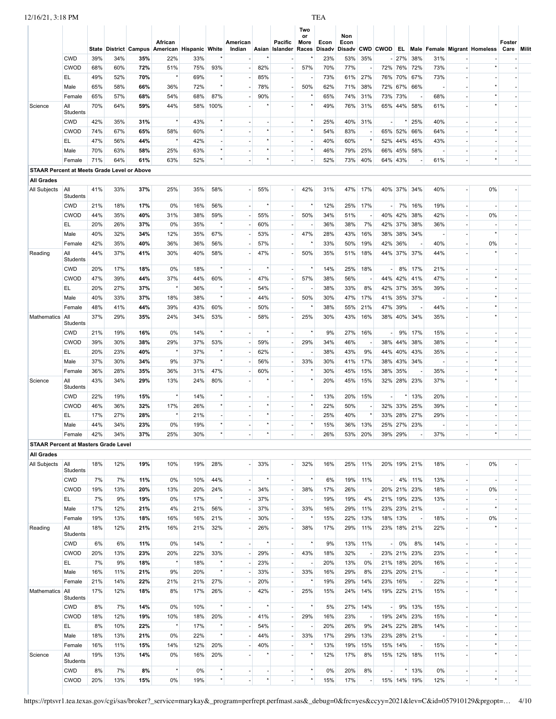| 12/16/21, 3:18 PM                                  |                 |     |            |     |                                               |     |          |          |          |                          |                   | <b>TEA</b> |             |                          |                          |             |                          |     |                                          |            |  |
|----------------------------------------------------|-----------------|-----|------------|-----|-----------------------------------------------|-----|----------|----------|----------|--------------------------|-------------------|------------|-------------|--------------------------|--------------------------|-------------|--------------------------|-----|------------------------------------------|------------|--|
|                                                    |                 |     |            |     | African                                       |     |          | American |          | Pacific                  | Two<br>or<br>More | Econ       | Non<br>Econ |                          |                          |             |                          |     |                                          | Foster     |  |
|                                                    |                 |     |            |     | State District Campus American Hispanic White |     |          | Indian   |          | Asian Islander           | Races             | Disadv     | Disadv      |                          |                          |             |                          |     | CWD CWOD EL Male Female Migrant Homeless | Care Milit |  |
|                                                    | <b>CWD</b>      | 39% | 34%        | 35% | 22%                                           | 33% |          |          |          | $\sim$                   |                   | 23%        | 53%         | 35%                      |                          | $-27%$      | 38%                      | 31% |                                          |            |  |
|                                                    | <b>CWOD</b>     | 68% | 60%        | 72% | 51%                                           | 75% | 93%      |          | 82%      | ٠                        | 57%               | 70%        | 77%         |                          |                          |             | 72% 76% 72%              | 73% |                                          |            |  |
|                                                    | EL.             | 49% | 52%        | 70% | $^\star$                                      | 69% | $^\star$ |          | 85%      | $\sim$                   |                   | 73%        | 61%         | 27%                      |                          |             | 76% 70% 67%              | 73% |                                          |            |  |
|                                                    | Male            | 65% | 58%        | 66% | 36%                                           | 72% | $^\star$ |          | 78%      | $\overline{\phantom{a}}$ | 50%               | 62%        | 71%         | 38%                      |                          | 72% 67%     | 66%                      |     |                                          |            |  |
|                                                    | Female          | 65% | 57%        | 68% | 54%                                           | 68% | 87%      |          | 90%      | ×.                       |                   | 65%        | 74%         | 31%                      |                          | 73% 73%     |                          | 68% |                                          |            |  |
| Science                                            | All<br>Students | 70% | 64%        | 59% | 44%                                           | 58% | 100%     |          |          | $\overline{\phantom{a}}$ |                   | 49%        | 76%         | 31%                      |                          |             | 65% 44% 58%              | 61% |                                          |            |  |
|                                                    | <b>CWD</b>      | 42% | 35%        | 31% | $^\star$                                      | 43% | $^\star$ |          |          | ÷,                       |                   | 25%        | 40%         | 31%                      | ÷,                       |             | 25%                      | 40% |                                          |            |  |
|                                                    | <b>CWOD</b>     | 74% | 67%        | 65% | 58%                                           | 60% | $^\star$ |          |          | ÷,                       | $^\star$          | 54%        | 83%         | $\overline{\phantom{a}}$ | 65%                      | 52%         | 66%                      | 64% |                                          |            |  |
|                                                    | EL              | 47% | 56%        | 44% | $^\star$                                      | 42% |          |          |          |                          |                   | 40%        | 60%         | $\star$                  | 52%                      | 44%         | 45%                      | 43% |                                          |            |  |
|                                                    | Male            | 70% | 63%        | 58% | 25%                                           | 63% | $^\star$ |          |          | $\overline{\phantom{a}}$ | $^\star$          | 46%        | 79%         | 25%                      |                          |             | 66% 45% 58%              |     |                                          |            |  |
|                                                    | Female          | 71% | 64%        | 61% | 63%                                           | 52% | $^\star$ |          |          |                          |                   | 52%        | 73%         | 40%                      |                          | 64% 43%     |                          | 61% |                                          |            |  |
| <b>STAAR Percent at Meets Grade Level or Above</b> |                 |     |            |     |                                               |     |          |          |          |                          |                   |            |             |                          |                          |             |                          |     |                                          |            |  |
| <b>All Grades</b>                                  |                 |     |            |     |                                               |     |          |          |          |                          |                   |            |             |                          |                          |             |                          |     |                                          |            |  |
| All Subjects                                       | All             | 41% | 33%        | 37% | 25%                                           | 35% | 58%      |          | 55%      |                          | 42%               | 31%        | 47%         | 17%                      |                          |             | 40% 37% 34%              | 40% | 0%                                       |            |  |
|                                                    | Students        |     |            |     |                                               |     |          |          |          |                          |                   |            |             |                          |                          |             |                          |     |                                          |            |  |
|                                                    | <b>CWD</b>      | 21% | 18%        | 17% | 0%                                            | 16% | 56%      |          |          | $\overline{\phantom{a}}$ | $\star$           | 12%        | 25%         | 17%                      |                          |             | $-7\%$ 16%               | 19% |                                          |            |  |
|                                                    | <b>CWOD</b>     | 44% | 35%        | 40% | 31%                                           | 38% | 59%      |          | 55%      | ٠                        | 50%               | 34%        | 51%         |                          |                          | 40% 42%     | 38%                      | 42% | 0%                                       |            |  |
|                                                    | EL.             | 20% | 26%        | 37% | 0%                                            | 35% | $^\star$ |          | 60%      | $\sim$                   |                   | 36%        | 38%         | 7%                       |                          | 42% 37%     | 38%                      | 36% |                                          |            |  |
|                                                    | Male            | 40% | 32%        | 34% | 12%                                           | 35% | 67%      |          | 53%      | $\overline{\phantom{a}}$ | 47%               | 28%        | 43%         | 16%                      | 38%                      | 38%         | 34%                      |     |                                          |            |  |
|                                                    | Female          | 42% | 35%        | 40% | 36%                                           | 36% | 56%      |          | 57%      | $\sim$                   |                   | 33%        | 50%         | 19%                      | 42%                      | 36%         |                          | 40% | 0%                                       |            |  |
| Reading                                            | All             | 44% | 37%        | 41% | 30%                                           | 40% | 58%      |          | 47%      | $\overline{\phantom{m}}$ | 50%               | 35%        | 51%         | 18%                      |                          |             | 44% 37% 37%              | 44% |                                          |            |  |
|                                                    | Students        |     |            |     |                                               |     |          |          |          |                          |                   |            |             |                          |                          |             |                          |     |                                          |            |  |
|                                                    | <b>CWD</b>      | 20% | 17%        | 18% | 0%                                            | 18% | $^\star$ |          |          | $\overline{\phantom{a}}$ |                   | 14%        | 25%         | 18%                      | $\sim$                   |             | 8% 17%                   | 21% |                                          |            |  |
|                                                    | <b>CWOD</b>     | 47% | 39%        | 44% | 37%                                           | 44% | 60%      |          | 47%      | ×.                       | 57%               | 38%        | 56%         | $\sim$                   | 44%                      |             | 42% 41%                  | 47% |                                          |            |  |
|                                                    | EL              | 20% | 27%        | 37% | $^\star$                                      | 36% | $\star$  |          | 54%      | $\overline{\phantom{a}}$ |                   | 38%        | 33%         | 8%                       | 42%                      | 37%         | 35%                      | 39% |                                          |            |  |
|                                                    | Male            | 40% | 33%        | 37% | 18%                                           | 38% | $^\star$ |          | 44%      | ×.                       | 50%               | 30%        | 47%         | 17%                      | 41%                      |             | 35% 37%                  |     |                                          |            |  |
|                                                    | Female          | 48% | 41%        | 44% | 39%                                           | 43% | 60%      |          | 50%      | $\overline{\phantom{a}}$ |                   | 38%        | 55%         | 21%                      | 47%                      | 39%         |                          | 44% |                                          |            |  |
| Mathematics                                        | All<br>Students | 37% | 29%        | 35% | 24%                                           | 34% | 53%      |          | 58%      | ä,                       | 25%               | 30%        | 43%         | 16%                      |                          |             | 38% 40% 34%              | 35% |                                          |            |  |
|                                                    | <b>CWD</b>      | 21% | 19%        | 16% | 0%                                            | 14% | $^\star$ |          |          | ٠                        |                   | 9%         | 27%         | 16%                      | $\sim$                   |             | 9% 17%                   | 15% |                                          |            |  |
|                                                    | <b>CWOD</b>     | 39% | 30%        | 38% | 29%                                           | 37% | 53%      |          | 59%      | $\overline{\phantom{a}}$ | 29%               | 34%        | 46%         |                          |                          |             | 38% 44% 38%              | 38% |                                          |            |  |
|                                                    | EL.             | 20% | 23%        | 40% | $\star$                                       | 37% | $^\star$ |          | 62%      | $\overline{\phantom{a}}$ |                   |            |             | 9%                       |                          |             |                          | 35% |                                          |            |  |
|                                                    | Male            | 37% |            | 34% |                                               | 37% | $^\star$ |          | 56%      | $\overline{\phantom{a}}$ | 33%               | 38%        | 43%         | 17%                      |                          |             | 44% 40% 43%<br>34%       |     |                                          |            |  |
|                                                    | Female          | 36% | 30%<br>28% | 35% | 9%<br>36%                                     | 31% | 47%      |          | 60%      | $\overline{\phantom{a}}$ |                   | 30%<br>30% | 41%<br>45%  | 15%                      | 38%<br>38%               | 43%<br>35%  | $\overline{\phantom{a}}$ | 35% |                                          |            |  |
| Science                                            | All             | 43% | 34%        | 29% | 13%                                           | 24% | 80%      |          |          | $\sim$                   |                   | 20%        | 45%         | 15%                      |                          |             | 32% 28% 23%              | 37% |                                          |            |  |
|                                                    | Students        |     |            |     |                                               |     |          |          |          |                          |                   |            |             |                          |                          |             |                          |     |                                          |            |  |
|                                                    | <b>CWD</b>      | 22% | 19%        | 15% | $^\star$                                      | 14% | $^\star$ |          |          | $\sim$                   |                   | 13%        | 20%         | 15%                      | $\sim$                   |             | 13%                      | 20% |                                          |            |  |
|                                                    | <b>CWOD</b>     | 46% | 36%        | 32% | 17%                                           | 26% | $^\star$ |          |          | $\overline{\phantom{a}}$ |                   | 22%        | 50%         |                          |                          | 32% 33%     | 25%                      | 39% |                                          |            |  |
|                                                    | EL              | 17% | 27%        | 28% | $^\star$                                      | 21% |          |          |          | ÷.                       |                   | 25%        | 40%         | $^\star$                 |                          |             | 33% 28% 27%              | 29% |                                          |            |  |
|                                                    | Male            | 44% | 34%        | 23% | 0%                                            | 19% |          |          |          |                          |                   | 15%        | 36%         | 13%                      |                          |             | 25% 27% 23%              |     |                                          |            |  |
|                                                    | Female          | 42% | 34%        | 37% | 25%                                           | 30% | $^\star$ |          | $^\star$ | $\sim$                   |                   | 26%        | 53%         | 20%                      |                          | 39% 29%     |                          | 37% | $^\star$                                 |            |  |
| <b>STAAR Percent at Masters Grade Level</b>        |                 |     |            |     |                                               |     |          |          |          |                          |                   |            |             |                          |                          |             |                          |     |                                          |            |  |
| <b>All Grades</b>                                  |                 |     |            |     |                                               |     |          |          |          |                          |                   |            |             |                          |                          |             |                          |     |                                          |            |  |
| All Subjects                                       | All             | 18% | 12%        | 19% | 10%                                           | 19% | 28%      |          | 33%      | $\sim$                   | 32%               | 16%        | 25%         | 11%                      |                          |             | 20% 19% 21%              | 18% | 0%                                       |            |  |
|                                                    | Students        |     |            |     |                                               |     |          |          |          |                          |                   |            |             |                          |                          |             |                          |     |                                          |            |  |
|                                                    | <b>CWD</b>      | 7%  | 7%         | 11% | 0%                                            | 10% | 44%      | $\sim$   |          | $\sim$                   | $\star$           | 6%         | 19%         | 11%                      |                          |             | $-4\%$ 11%               | 13% |                                          |            |  |
|                                                    | <b>CWOD</b>     | 19% | 13%        | 20% | 13%                                           | 20% | 24%      |          | 34%      | $\overline{\phantom{a}}$ | 38%               | 17%        | 26%         | $\overline{\phantom{a}}$ |                          |             | 20% 21% 23%              | 18% | 0%                                       |            |  |
|                                                    | EL.             | 7%  | 9%         | 19% | 0%                                            | 17% | $^\star$ |          | 37%      | $\overline{\phantom{a}}$ |                   | 19%        | 19%         | 4%                       |                          |             | 21% 19% 23%              | 13% |                                          |            |  |
|                                                    | Male            | 17% | 12%        | 21% | 4%                                            | 21% | 56%      |          | 37%      | $\overline{\phantom{a}}$ | 33%               | 16%        | 29%         | 11%                      |                          |             | 23% 23% 21%              |     |                                          |            |  |
|                                                    | Female          | 19% | 13%        | 18% | 16%                                           | 16% | 21%      |          | 30%      | $\overline{\phantom{a}}$ |                   | 15%        | 22%         | 13%                      |                          | 18% 13%     | $\overline{\phantom{a}}$ | 18% | 0%                                       |            |  |
| Reading                                            | All<br>Students | 18% | 12%        | 21% | 16%                                           | 21% | 32%      |          | 26%      | $\overline{\phantom{a}}$ | 38%               | 17%        | 29%         | 11%                      |                          |             | 23% 18% 21%              | 22% |                                          |            |  |
|                                                    | <b>CWD</b>      | 6%  | 6%         | 11% | 0%                                            | 14% | $^\star$ |          |          | $\overline{\phantom{a}}$ | $\star$           | 9%         | 13%         | 11%                      |                          | 0%<br>- 11  | 8%                       | 14% |                                          |            |  |
|                                                    | <b>CWOD</b>     | 20% | 13%        | 23% | 20%                                           | 22% | 33%      |          | 29%      | $\overline{\phantom{a}}$ | 43%               | 18%        | 32%         | $\overline{\phantom{a}}$ |                          |             | 23% 21% 23%              | 23% |                                          |            |  |
|                                                    | EL.             | 7%  | 9%         | 18% | $^\star$                                      | 18% | $^\star$ |          | 23%      | $\overline{\phantom{a}}$ |                   | 20%        | 13%         | 0%                       |                          |             | 21% 18% 20%              | 16% |                                          |            |  |
|                                                    | Male            | 16% | 11%        | 21% | 9%                                            | 20% | $^\star$ |          | 33%      | $\overline{\phantom{a}}$ | 33%               | 16%        | 29%         | 8%                       |                          |             | 23% 20% 21%              |     |                                          |            |  |
|                                                    | Female          | 21% | 14%        | 22% | 21%                                           | 21% | 27%      |          | 20%      | $\overline{\phantom{a}}$ | $\star$           | 19%        | 29%         | 14%                      |                          | 23% 16%     | $\overline{\phantom{a}}$ | 22% | $^\star$                                 |            |  |
| Mathematics                                        | All             | 17% | 12%        | 18% | 8%                                            | 17% | 26%      |          | 42%      | ÷,                       | 25%               | 15%        | 24%         | 14%                      |                          |             | 19% 22% 21%              | 15% |                                          |            |  |
|                                                    | Students        |     |            |     |                                               |     |          |          |          |                          |                   |            |             |                          |                          |             |                          |     |                                          |            |  |
|                                                    | <b>CWD</b>      | 8%  | 7%         | 14% | 0%                                            | 10% | $^\star$ |          |          | $\overline{\phantom{a}}$ |                   | 5%         | 27%         | 14%                      | $\overline{\phantom{a}}$ |             | 9% 13%                   | 15% |                                          |            |  |
|                                                    | <b>CWOD</b>     | 18% | 12%        | 19% | 10%                                           | 18% | 20%      |          | 41%      | $\overline{\phantom{a}}$ | 29%               | 16%        | 23%         | $\overline{\phantom{a}}$ |                          |             | 19% 24% 23%              | 15% |                                          |            |  |
|                                                    | EL.             | 8%  | 10%        | 22% | $^\star$                                      | 17% | $^\star$ |          | 54%      | $\overline{\phantom{a}}$ |                   | 20%        | 26%         | 9%                       |                          | 24% 22%     | 28%                      | 14% |                                          |            |  |
|                                                    | Male            | 18% | 13%        | 21% | 0%                                            | 22% | $^\star$ |          | 44%      | $\overline{\phantom{a}}$ | 33%               | 17%        | 29%         | 13%                      |                          |             | 23% 28% 21%              |     |                                          |            |  |
|                                                    | Female          | 16% | 11%        | 15% | 14%                                           | 12% | 20%      |          | 40%      | $\overline{\phantom{a}}$ |                   | 13%        | 19%         | 15%                      |                          | 15% 14%     | $\overline{\phantom{a}}$ | 15% |                                          |            |  |
| Science                                            | All             | 19% | 13%        | 14% | 0%                                            | 16% | 20%      |          |          | $\sim$                   |                   | 12%        | 17%         | 8%                       |                          |             | 15% 12% 18%              | 11% |                                          |            |  |
|                                                    | Students        |     |            |     |                                               |     |          |          |          |                          |                   |            |             |                          |                          |             |                          |     |                                          |            |  |
|                                                    | <b>CWD</b>      | 8%  | 7%         | 8%  | $^\star$                                      | 0%  | $^\star$ |          |          | $\overline{\phantom{a}}$ |                   | 0%         | 20%         | 8%                       | $\overline{\phantom{a}}$ |             | 13%                      | 0%  |                                          |            |  |
|                                                    | <b>CWOD</b>     | 20% | 13%        | 15% | $0\%$                                         | 19% | $^\star$ |          | $^\star$ |                          | $\star$           | 15%        | 17%         | $\overline{\phantom{a}}$ |                          | 15% 14% 19% |                          | 12% |                                          |            |  |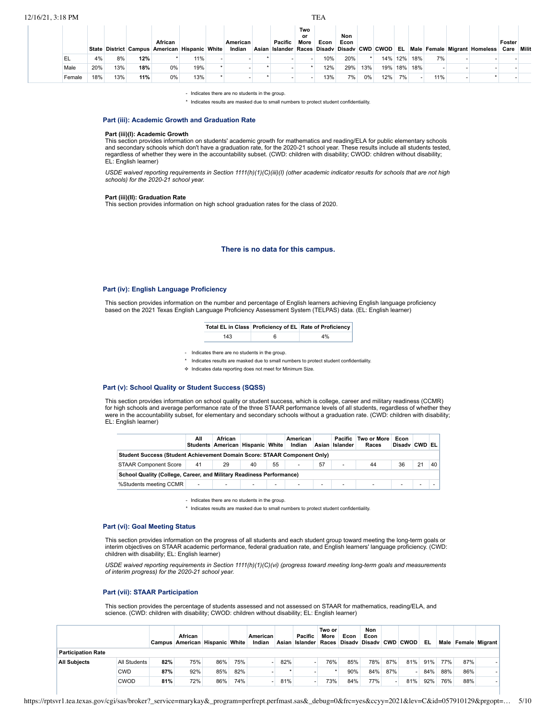**State District Campus African American Hispanic White American Indian Asian Islander Pacific Two or More Races Disadv Disadv CWD CWOD EL Male Female Migrant Homeless Econ Non Econ Foster Care Milit** EL 4% 8% **12%** \* 11% - - \* - - 10% 20% \* 14% 12% 18% 7% - - - Male 20% 13% **18%** 0% 19% \* - \* - \* 12% 29% 13% 19% 18% 18% - - - - Female 18% 13% **11%** 0% 13% \* - \* - - 13% 7% 0% 12% 7% - 11% - \* -

- Indicates there are no students in the group.

\* Indicates results are masked due to small numbers to protect student confidentiality.

## **Part (iii): Academic Growth and Graduation Rate**

## **Part (iii)(I): Academic Growth**

This section provides information on students' academic growth for mathematics and reading/ELA for public elementary schools and secondary schools which don't have a graduation rate, for the 2020-21 school year. These results include all students tested, regardless of whether they were in the accountability subset. (CWD: children with disability; CWOD: children without disability; EL: English learner)

USDE waived reporting requirements in Section 1111(h)(1)(C)(iii)(l) (other academic indicator results for schools that are not high *schools) for the 2020-21 school year.*

#### **Part (iii)(II): Graduation Rate**

This section provides information on high school graduation rates for the class of 2020.

## **There is no data for this campus.**

## **Part (iv): English Language Proficiency**

This section provides information on the number and percentage of English learners achieving English language proficiency based on the 2021 Texas English Language Proficiency Assessment System (TELPAS) data. (EL: English learner)

|  | Total EL in Class Proficiency of EL Rate of Proficiency |
|--|---------------------------------------------------------|
|  |                                                         |

| $\sim$ |  |
|--------|--|
|        |  |

- Indicates there are no students in the group.
- Indicates results are masked due to small numbers to protect student confidentiality.
- ✧ Indicates data reporting does not meet for Minimum Size.

## **Part (v): School Quality or Student Success (SQSS)**

This section provides information on school quality or student success, which is college, career and military readiness (CCMR) for high schools and average performance rate of the three STAAR performance levels of all students, regardless of whether they were in the accountability subset, for elementary and secondary schools without a graduation rate. (CWD: children with disability; EL: English learner)

|                                                                                 | All    | African<br>Students American Hispanic White |    |                          | American<br>Indian       |                | Pacific<br>Asian Islander | Two or More<br>Races | Econ<br>Disady CWD EL |    |    |
|---------------------------------------------------------------------------------|--------|---------------------------------------------|----|--------------------------|--------------------------|----------------|---------------------------|----------------------|-----------------------|----|----|
| <b>Student Success (Student Achievement Domain Score: STAAR Component Only)</b> |        |                                             |    |                          |                          |                |                           |                      |                       |    |    |
| <b>STAAR Component Score</b>                                                    | 41     | 29                                          | 40 | 55                       | ۰                        | 57             | $\overline{\phantom{a}}$  | 44                   | 36                    | 21 | 40 |
| School Quality (College, Career, and Military Readiness Performance)            |        |                                             |    |                          |                          |                |                           |                      |                       |    |    |
| %Students meeting CCMR                                                          | $\sim$ | $\overline{\phantom{a}}$                    | ٠  | $\overline{\phantom{a}}$ | $\overline{\phantom{a}}$ | $\overline{a}$ | $\overline{\phantom{a}}$  | $\sim$               | $\sim$                | -  |    |

- Indicates there are no students in the group.

\* Indicates results are masked due to small numbers to protect student confidential

#### **Part (vi): Goal Meeting Status**

This section provides information on the progress of all students and each student group toward meeting the long-term goals or interim objectives on STAAR academic performance, federal graduation rate, and English learners' language proficiency. (CWD: children with disability; EL: English learner)

*USDE waived reporting requirements in Section 1111(h)(1)(C)(vi) (progress toward meeting long-term goals and measurements of interim progress) for the 2020-21 school year.*

#### **Part (vii): STAAR Participation**

This section provides the percentage of students assessed and not assessed on STAAR for mathematics, reading/ELA, and science. (CWD: children with disability; CWOD: children without disability; EL: English learner)

|                           |              |     | African<br>Campus American Hispanic White |     |     | American<br>Indian |     | Pacific<br>Asian   Islander   Races   Disadv   Disadv   CWD   CWOD | Two or<br>More | Econ | Non<br>Econ |     |     | EL. |     |     | Male Female Migrant |
|---------------------------|--------------|-----|-------------------------------------------|-----|-----|--------------------|-----|--------------------------------------------------------------------|----------------|------|-------------|-----|-----|-----|-----|-----|---------------------|
| <b>Participation Rate</b> |              |     |                                           |     |     |                    |     |                                                                    |                |      |             |     |     |     |     |     |                     |
| <b>All Subiects</b>       | All Students | 82% | 75%                                       | 86% | 75% |                    | 82% |                                                                    | 76%            | 85%  | 78%         | 87% | 81% | 91% | 77% | 87% |                     |
|                           | CWD          | 87% | 92%                                       | 85% | 82% |                    |     |                                                                    |                | 90%  | 84%         | 87% |     | 84% | 88% | 86% |                     |
|                           | CWOD         | 81% | 72%                                       | 86% | 74% |                    | 81% |                                                                    | 73%            | 84%  | 77%         |     | 81% | 92% | 76% | 88% |                     |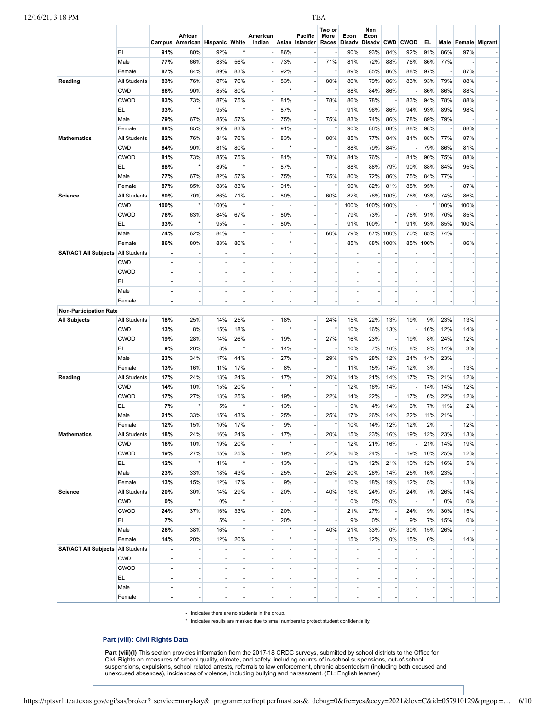|                                          |                            |                      | African                        |                          |                          | American                       |     | Pacific        | Two or<br>More           | Econ                     | Non<br>Econ |                          |          |                          |      |                       |
|------------------------------------------|----------------------------|----------------------|--------------------------------|--------------------------|--------------------------|--------------------------------|-----|----------------|--------------------------|--------------------------|-------------|--------------------------|----------|--------------------------|------|-----------------------|
|                                          |                            |                      | Campus American Hispanic White |                          |                          | Indian                         |     | Asian Islander | Races                    | <b>Disadv</b>            | Disadv      |                          | CWD CWOD | EL.                      | Male | <b>Female Migrant</b> |
|                                          | EL                         | 91%                  | 80%                            | 92%                      |                          |                                | 86% |                |                          | 90%                      | 93%         | 84%                      | 92%      | 91%                      | 86%  | 97%                   |
|                                          | Male                       | 77%                  | 66%                            | 83%                      | 56%                      | $\overline{\phantom{a}}$       | 73% |                | 71%                      | 81%                      | 72%         | 88%                      | 76%      | 86%                      | 77%  |                       |
|                                          | Female                     | 87%                  | 84%                            | 89%                      | 83%                      |                                | 92% |                | $\star$                  | 89%                      | 85%         | 86%                      | 88%      | 97%                      |      | 87%                   |
| Reading                                  | <b>All Students</b>        | 83%                  | 76%                            | 87%                      | 76%                      | ÷                              | 83% |                | 80%                      | 86%                      | 79%         | 86%                      | 83%      | 93%                      | 79%  | 88%                   |
|                                          | <b>CWD</b>                 | 86%                  | 90%                            | 85%                      | 80%                      |                                |     |                | $\star$                  | 88%                      | 84%         | 86%                      |          | 86%                      | 86%  | 88%                   |
|                                          | <b>CWOD</b>                | 83%                  | 73%                            | 87%                      | 75%                      | ÷.                             | 81% |                | 78%                      | 86%                      | 78%         | $\overline{\phantom{a}}$ | 83%      | 94%                      | 78%  | 88%                   |
|                                          | EL                         | 93%                  |                                | 95%                      |                          |                                | 87% |                |                          | 91%                      | 96%         | 86%                      | 94%      | 93%                      | 89%  | 98%                   |
|                                          | Male                       | 79%                  | 67%                            | 85%                      | 57%                      | ÷                              | 75% |                | 75%                      | 83%                      | 74%         | 86%                      | 78%      | 89%                      | 79%  |                       |
|                                          | Female                     | 88%                  | 85%                            | 90%                      | 83%                      |                                | 91% |                | $\star$                  | 90%                      | 86%         | 88%                      | 88%      | 98%                      |      | 88%                   |
| <b>Mathematics</b>                       | <b>All Students</b>        | 82%                  | 76%                            | 84%                      | 76%                      |                                | 83% |                | 80%                      | 85%                      | 77%         | 84%                      | 81%      | 88%                      | 77%  | 87%                   |
|                                          | <b>CWD</b>                 | 84%                  | 90%                            | 81%                      | 80%                      |                                |     |                | $\star$                  | 88%                      | 79%         | 84%                      |          | 79%                      | 86%  | 81%                   |
|                                          | <b>CWOD</b>                | 81%                  | 73%                            | 85%                      | 75%                      | $\overline{\phantom{a}}$       | 81% |                | 78%                      | 84%                      | 76%         | $\overline{\phantom{a}}$ | 81%      | 90%                      | 75%  | 88%                   |
|                                          | EL                         | 88%                  |                                | 89%                      |                          |                                | 87% |                | ÷                        | 88%                      | 88%         | 79%                      | 90%      | 88%                      | 84%  | 95%                   |
|                                          | Male                       | 77%                  | 67%                            | 82%                      | 57%                      |                                | 75% |                | 75%                      | 80%                      | 72%         | 86%                      | 75%      | 84%                      | 77%  |                       |
|                                          | Female                     | 87%                  | 85%                            | 88%                      | 83%                      |                                | 91% |                | $\star$                  | 90%                      | 82%         | 81%                      | 88%      | 95%                      |      | 87%                   |
| <b>Science</b>                           | <b>All Students</b>        | 80%                  | 70%                            | 86%                      | 71%                      | $\overline{\phantom{a}}$       | 80% |                | 60%                      | 82%                      | 76%         | 100%                     | 76%      | 93%                      | 74%  | 86%                   |
|                                          | <b>CWD</b>                 | 100%                 |                                | 100%                     |                          |                                |     |                |                          | 100%                     | 100%        | 100%                     |          | $^{\star}$               | 100% | 100%                  |
|                                          | <b>CWOD</b>                | 76%                  | 63%                            | 84%                      | 67%                      |                                | 80% |                | $\star$                  | 79%                      | 73%         | $\overline{\phantom{a}}$ | 76%      | 91%                      | 70%  | 85%                   |
|                                          | EL                         | 93%                  |                                | 95%                      |                          |                                | 80% |                |                          | 91%                      | 100%        | $^\star$                 | 91%      | 93%                      | 85%  | 100%                  |
|                                          | Male                       | 74%                  | 62%                            | 84%                      |                          |                                |     |                | 60%                      | 79%                      | 67%         | 100%                     | 70%      | 85%                      | 74%  |                       |
|                                          | Female                     | 86%                  | 80%                            | 88%                      | 80%                      |                                |     |                |                          | 85%                      | 88%         | 100%                     | 85%      | 100%                     |      | 86%                   |
| <b>SAT/ACT All Subjects All Students</b> |                            | $\sim$               |                                | ٠                        |                          | ÷.                             |     |                | $\sim$                   | ÷,                       |             | $\sim$                   |          |                          |      |                       |
|                                          | <b>CWD</b>                 | ÷,                   |                                |                          |                          |                                |     |                | $\sim$                   | $\overline{\phantom{a}}$ |             | ä,                       |          |                          |      |                       |
|                                          | <b>CWOD</b>                | $\sim$               |                                | $\sim$                   |                          | ÷                              |     |                | ÷.                       | ×.                       |             | ä,                       |          | $\sim$                   |      |                       |
|                                          | EL                         | $\blacksquare$       |                                |                          |                          |                                |     |                |                          | $\sim$                   |             | ÷,                       |          | $\overline{\phantom{a}}$ |      |                       |
|                                          | Male                       | $\sim$               | $\overline{\phantom{a}}$       | ٠                        | $\overline{\phantom{a}}$ | ÷                              | ٠   | ÷,             | ×.                       | ×.                       | ×,          | ÷.                       | ٠        | $\sim$                   |      |                       |
|                                          | Female                     | $\blacksquare$       |                                |                          |                          |                                |     |                |                          | $\sim$                   |             | ÷,                       |          | $\sim$                   |      |                       |
| <b>Non-Participation Rate</b>            |                            |                      |                                |                          |                          |                                |     |                |                          |                          |             |                          |          |                          |      |                       |
|                                          |                            |                      | 25%                            | 14%                      |                          |                                |     |                |                          |                          | 22%         |                          | 19%      | 9%                       |      |                       |
| <b>All Subjects</b>                      | All Students<br><b>CWD</b> | 18%                  | 8%                             |                          | 25%                      | $\overline{\phantom{a}}$<br>÷. | 18% |                | 24%<br>$\star$           | 15%<br>10%               |             | 13%                      |          |                          | 23%  | 13%                   |
|                                          |                            | 13%                  |                                | 15%                      | 18%                      |                                |     |                |                          |                          | 16%         | 13%                      |          | 16%                      | 12%  | 14%                   |
|                                          | <b>CWOD</b>                | 19%                  | 28%                            | 14%                      | 26%                      | ٠                              | 19% |                | 27%                      | 16%                      | 23%         | $\overline{\phantom{a}}$ | 19%      | 8%                       | 24%  | 12%                   |
|                                          | EL                         | 9%                   | 20%                            | 8%                       |                          | $\sim$                         | 14% |                | $\sim$                   | 10%                      | 7%          | 16%                      | 8%       | 9%                       | 14%  | 3%                    |
|                                          | Male                       | 23%                  | 34%                            | 17%                      | 44%                      | $\overline{\phantom{a}}$       | 27% |                | 29%<br>$\star$           | 19%                      | 28%         | 12%                      | 24%      | 14%                      | 23%  |                       |
|                                          | Female                     | 13%                  | 16%                            | 11%                      | 17%                      | $\overline{a}$                 | 8%  |                |                          | 11%                      | 15%         | 14%                      | 12%      | 3%                       |      | 13%                   |
| Reading                                  | All Students               | 17%                  | 24%                            | 13%                      | 24%                      | $\overline{\phantom{a}}$       | 17% |                | 20%<br>$^\star$          | 14%                      | 21%         | 14%                      | 17%      | 7%                       | 21%  | 12%                   |
|                                          | <b>CWD</b>                 | 14%                  | 10%                            | 15%                      | 20%                      | ÷.                             |     |                |                          | 12%                      | 16%         | 14%                      |          | 14%                      | 14%  | 12%                   |
|                                          | CWOD                       | 17%                  | 27%                            | 13%                      | 25%                      | $\overline{\phantom{a}}$       | 19% |                | 22%                      | 14%                      | 22%         | $\overline{\phantom{a}}$ | 17%      | 6%                       | 22%  | 12%                   |
|                                          | EL                         | 7%                   |                                | 5%                       |                          |                                | 13% |                |                          | 9%                       | 4%          | 14%                      | 6%       | 7%                       | 11%  | 2%                    |
|                                          | Male                       | 21%                  | 33%                            | 15%                      | 43%                      | $\sim$                         | 25% |                | 25%                      | 17%                      | 26%         | 14%                      | 22%      | 11%                      | 21%  |                       |
|                                          | Female                     | 12%                  | 15%                            | 10%                      | 17%                      | ٠                              | 9%  |                | $\star$                  | 10%                      | 14%         | 12%                      | 12%      | 2%                       |      | 12%                   |
| <b>Mathematics</b>                       | All Students               | 18%                  | 24%                            | 16%                      | 24%                      | ٠                              | 17% |                | 20%                      | 15%                      | 23%         | 16%                      | 19%      | 12%                      | 23%  | 13%                   |
|                                          | <b>CWD</b>                 | 16%                  | 10%                            | 19%                      | 20%                      | ÷.                             |     |                | $\star$                  | 12%                      | 21%         | 16%                      |          | 21%                      | 14%  | 19%                   |
|                                          | CWOD                       | 19%                  | 27%                            | 15%                      | 25%                      | ٠                              | 19% |                | 22%                      | 16%                      | 24%         | $\overline{\phantom{a}}$ | 19%      | 10%                      | 25%  | 12%                   |
|                                          | EL.                        | 12%                  |                                | 11%                      |                          | $\overline{\phantom{a}}$       | 13% |                | $\overline{\phantom{a}}$ | 12%                      | 12%         | 21%                      | 10%      | 12%                      | 16%  | 5%                    |
|                                          | Male                       | 23%                  | 33%                            | 18%                      | 43%                      |                                | 25% |                | 25%                      | 20%                      | 28%         | 14%                      | 25%      | 16%                      | 23%  |                       |
|                                          | Female                     | 13%                  | 15%                            | 12%                      | 17%                      |                                | 9%  |                | $\star$                  | 10%                      | 18%         | 19%                      | 12%      | 5%                       |      | 13%                   |
| Science                                  | All Students               | 20%                  | 30%                            | 14%                      | 29%                      |                                | 20% |                | 40%                      | 18%                      | 24%         | 0%                       | 24%      | 7%                       | 26%  | 14%                   |
|                                          | <b>CWD</b>                 | 0%                   |                                | 0%                       |                          | ÷.                             |     |                | $^\star$                 | 0%                       | 0%          | 0%                       |          | $\star$                  | 0%   | 0%                    |
|                                          | CWOD                       | 24%                  | 37%                            | 16%                      | 33%                      | $\overline{\phantom{a}}$       | 20% |                | $\star$                  | 21%                      | 27%         | $\overline{\phantom{a}}$ | 24%      | 9%                       | 30%  | 15%                   |
|                                          | EL.                        | 7%                   |                                | 5%                       |                          | $\sim$                         | 20% |                | ÷,                       | 9%                       | 0%          | $^\star$                 | 9%       | 7%                       | 15%  | 0%                    |
|                                          | Male                       | 26%                  | 38%                            | 16%                      |                          | $\overline{\phantom{a}}$       |     |                | 40%                      | 21%                      | 33%         | 0%                       | 30%      | 15%                      | 26%  |                       |
|                                          | Female                     | 14%                  | 20%                            | 12%                      | 20%                      | ÷                              |     |                | ×.                       | 15%                      | 12%         | 0%                       | 15%      | 0%                       |      | 14%                   |
| <b>SAT/ACT All Subjects All Students</b> |                            | $\blacksquare$       |                                |                          | ÷,                       | $\overline{\phantom{a}}$       |     |                | $\overline{\phantom{a}}$ | $\overline{\phantom{a}}$ |             | $\overline{\phantom{a}}$ |          |                          |      |                       |
|                                          | <b>CWD</b>                 | $\ddot{\phantom{a}}$ |                                |                          |                          | ÷                              |     |                | ÷,                       | ×.                       |             | $\overline{\phantom{a}}$ |          | ÷.                       |      |                       |
|                                          | <b>CWOD</b>                | $\blacksquare$       |                                |                          |                          | $\overline{\phantom{a}}$       |     |                | $\overline{\phantom{a}}$ | $\overline{\phantom{a}}$ |             | $\overline{\phantom{a}}$ |          |                          |      |                       |
|                                          |                            |                      |                                |                          |                          |                                |     |                |                          |                          |             |                          |          |                          |      |                       |
|                                          | EL                         | $\ddot{\phantom{a}}$ |                                |                          |                          | ÷.                             |     |                |                          | $\overline{\phantom{a}}$ |             | $\overline{\phantom{a}}$ |          |                          |      |                       |
|                                          | Male                       | $\blacksquare$       |                                | $\overline{\phantom{a}}$ |                          | $\overline{\phantom{a}}$       |     |                | $\overline{\phantom{a}}$ | $\overline{\phantom{a}}$ |             | $\overline{\phantom{a}}$ |          |                          |      |                       |

- Indicates there are no students in the group.

\* Indicates results are masked due to small numbers to protect student confidentiality.

# **Part (viii): Civil Rights Data**

Part (viii)(I) This section provides information from the 2017-18 CRDC surveys, submitted by school districts to the Office for<br>Civil Rights on measures of school quality, climate, and safety, including counts of in-school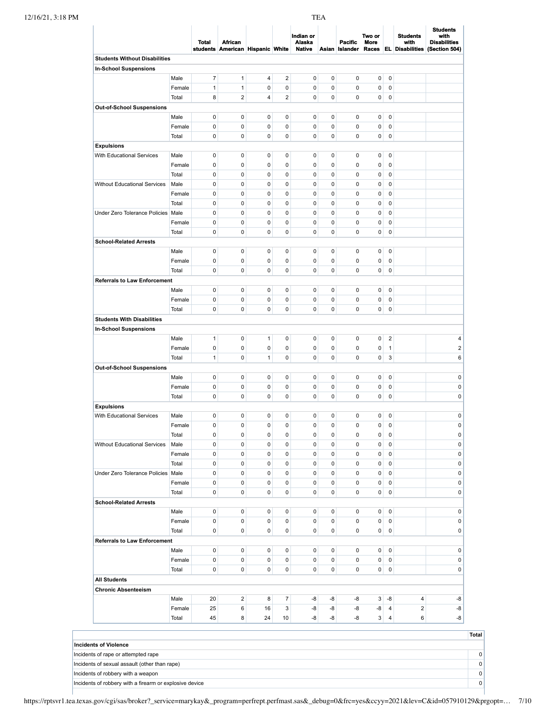|                                      |                 | <b>Total</b>   | African<br>students American Hispanic White |              |                          | Indian or<br>Alaska<br><b>Native</b> |             | Pacific<br>Asian Islander | Two or<br>More       |                                  | <b>Students</b><br>with | with<br><b>Disabilities</b><br>Races EL Disabilities (Section 504) |
|--------------------------------------|-----------------|----------------|---------------------------------------------|--------------|--------------------------|--------------------------------------|-------------|---------------------------|----------------------|----------------------------------|-------------------------|--------------------------------------------------------------------|
| <b>Students Without Disabilities</b> |                 |                |                                             |              |                          |                                      |             |                           |                      |                                  |                         |                                                                    |
| <b>In-School Suspensions</b>         |                 |                |                                             |              |                          |                                      |             |                           |                      |                                  |                         |                                                                    |
|                                      | Male            | $\overline{7}$ | $\mathbf{1}$                                | 4            | $\overline{2}$           | 0                                    | $\pmb{0}$   | 0                         | $\pmb{0}$            | $\mathbf 0$                      |                         |                                                                    |
|                                      | Female          | 1              | $\mathbf{1}$                                | 0            | 0                        | 0                                    | $\mathbf 0$ | 0                         | 0                    | $\mathbf 0$                      |                         |                                                                    |
|                                      | Total           | 8              | $\overline{2}$                              | 4            | $\overline{2}$           | 0                                    | $\pmb{0}$   | 0                         | 0                    | $\mathbf 0$                      |                         |                                                                    |
| Out-of-School Suspensions            |                 |                |                                             |              |                          |                                      |             |                           |                      |                                  |                         |                                                                    |
|                                      | Male            | 0              | 0                                           | 0            | 0                        | 0                                    | $\pmb{0}$   | 0                         | 0                    | $\pmb{0}$                        |                         |                                                                    |
|                                      | Female          | 0              | 0                                           | 0            | 0                        | 0                                    | 0           | 0                         | 0                    | $\pmb{0}$                        |                         |                                                                    |
|                                      | Total           | 0              | $\pmb{0}$                                   | 0            | 0                        | 0                                    | 0           | 0                         | 0                    | $\mathbf 0$                      |                         |                                                                    |
| <b>Expulsions</b>                    |                 |                |                                             |              |                          |                                      |             |                           |                      |                                  |                         |                                                                    |
| With Educational Services            | Male            | $\pmb{0}$      | $\pmb{0}$                                   | 0            | 0                        | 0                                    | $\pmb{0}$   | 0                         | 0                    | $\mathbf 0$                      |                         |                                                                    |
|                                      | Female          | $\pmb{0}$      | $\pmb{0}$                                   | 0            | 0                        | 0                                    | 0           | 0                         | 0                    | $\mathbf 0$                      |                         |                                                                    |
|                                      | Total           | 0              | 0                                           | 0            | 0                        | 0                                    | 0           | 0                         | 0                    | $\mathbf 0$                      |                         |                                                                    |
| Without Educational Services         | Male            | $\pmb{0}$      | $\pmb{0}$                                   | 0            | 0                        | 0                                    | $\mathbf 0$ | 0                         | $\pmb{0}$            | $\mathbf 0$                      |                         |                                                                    |
|                                      | Female          | 0              | $\pmb{0}$                                   | 0            | 0                        | 0                                    | 0           | 0                         | 0                    | $\mathbf 0$                      |                         |                                                                    |
|                                      | Total           | $\mathbf 0$    | $\pmb{0}$                                   | 0            | 0                        | 0                                    | 0           | 0                         | 0                    | $\mathbf 0$                      |                         |                                                                    |
| Under Zero Tolerance Policies   Male |                 | 0              | 0                                           | 0            | 0                        | 0                                    | 0           | 0                         | 0                    | $\mathbf 0$                      |                         |                                                                    |
|                                      | Female          | $\pmb{0}$      | $\pmb{0}$                                   | 0            | 0                        | 0                                    | $\mathbf 0$ | 0                         | 0                    | $\mathbf 0$                      |                         |                                                                    |
|                                      | Total           | 0              | $\pmb{0}$                                   | 0            | 0                        | 0                                    | 0           | 0                         | 0                    | $\mathbf 0$                      |                         |                                                                    |
| <b>School-Related Arrests</b>        |                 |                |                                             |              |                          |                                      |             |                           |                      |                                  |                         |                                                                    |
|                                      | Male            | $\pmb{0}$      | 0                                           | 0            | 0                        | 0                                    | $\pmb{0}$   | 0                         | 0                    | $\pmb{0}$                        |                         |                                                                    |
|                                      | Female          | $\pmb{0}$      | 0                                           | 0            | 0                        | 0                                    | $\mathbf 0$ | 0                         | 0                    | $\mathbf 0$                      |                         |                                                                    |
|                                      | Total           | $\mathbf 0$    | $\pmb{0}$                                   | 0            | 0                        | 0                                    | $\mathbf 0$ | 0                         | $\pmb{0}$            | $\mathbf 0$                      |                         |                                                                    |
| <b>Referrals to Law Enforcement</b>  |                 |                |                                             |              |                          |                                      |             |                           |                      |                                  |                         |                                                                    |
|                                      | Male            | 0              | 0                                           | 0            | 0                        | 0                                    | 0           | 0                         | 0                    | $\mathbf 0$                      |                         |                                                                    |
|                                      | Female          | 0              | 0                                           | 0            | 0                        | 0                                    | 0           | 0                         | 0                    | $\pmb{0}$                        |                         |                                                                    |
|                                      | Total           | 0              | $\pmb{0}$                                   | 0            | 0                        | 0                                    | 0           | 0                         | 0                    | $\mathbf 0$                      |                         |                                                                    |
| <b>Students With Disabilities</b>    |                 |                |                                             |              |                          |                                      |             |                           |                      |                                  |                         |                                                                    |
| <b>In-School Suspensions</b>         |                 |                |                                             |              |                          |                                      |             |                           |                      |                                  |                         |                                                                    |
|                                      | Male            | $\mathbf{1}$   | 0                                           | $\mathbf{1}$ | 0                        | 0                                    | $\pmb{0}$   | 0                         | 0                    | $\overline{\mathbf{c}}$          |                         | 4                                                                  |
|                                      | Female          | 0              | $\pmb{0}$                                   | 0            | 0                        | 0                                    | 0           | 0                         | 0                    | $\overline{1}$                   |                         | $\mathbf 2$                                                        |
|                                      | Total           | $\mathbf{1}$   | $\pmb{0}$                                   | $\mathbf{1}$ | 0                        | 0                                    | $\mathbf 0$ | 0                         | 0                    | 3                                |                         | 6                                                                  |
| Out-of-School Suspensions            |                 |                |                                             |              |                          |                                      |             |                           |                      |                                  |                         |                                                                    |
|                                      | Male            | 0              | 0                                           | 0            | 0                        | 0                                    | 0           | 0                         | 0                    | $\mathbf 0$                      |                         | 0                                                                  |
|                                      | Female          | 0              | $\pmb{0}$                                   | 0            | 0                        | 0                                    | 0           | 0                         | 0                    | $\pmb{0}$                        |                         | $\mathsf 0$                                                        |
|                                      | Total           | 0              | $\pmb{0}$                                   | 0            | 0                        | 0                                    | 0           | 0                         | 0                    | $\pmb{0}$                        |                         | $\pmb{0}$                                                          |
| <b>Expulsions</b>                    |                 |                |                                             |              |                          |                                      |             |                           |                      |                                  |                         |                                                                    |
| With Educational Services            | Male            | $\pmb{0}$      | 0                                           | 0            | 0                        | 0                                    | $\pmb{0}$   | 0                         | 0                    | $\mathbf 0$                      |                         | 0                                                                  |
|                                      | Female          | $\mathbf 0$    | 0                                           | 0            | 0                        | 0                                    | $\mathbf 0$ | 0                         | 0                    | $\mathbf 0$                      |                         | $\mathbf 0$                                                        |
|                                      | Total           | 0              | 0                                           | 0            | 0                        | 0                                    | 0           | $\pmb{0}$                 | 0                    | $\overline{0}$                   |                         | $\pmb{0}$                                                          |
| Without Educational Services         | Male            | $\pmb{0}$      | 0                                           | 0            | 0                        | 0                                    | 0           | 0                         | 0                    | $\mathbf 0$                      |                         | $\pmb{0}$                                                          |
|                                      | Female          | 0              | $\pmb{0}$                                   | $\pmb{0}$    | 0                        | 0                                    | $\pmb{0}$   | 0                         | 0                    | $\mathbf 0$                      |                         | 0                                                                  |
|                                      | Total           | 0              | 0                                           | 0            | 0                        | 0                                    | 0           | 0                         | 0                    | 0                                |                         | 0                                                                  |
| Under Zero Tolerance Policies   Male |                 | $\pmb{0}$      | $\pmb{0}$                                   | 0            | $\pmb{0}$                | 0                                    | $\pmb{0}$   | 0                         | 0                    | $\mathbf 0$                      |                         | 0                                                                  |
|                                      | Female          | 0              | $\pmb{0}$                                   | 0            | $\mathbf 0$              | 0                                    | 0           | 0                         | 0                    | $\mathbf 0$                      |                         | $\pmb{0}$                                                          |
|                                      | Total           | 0              | $\pmb{0}$                                   | 0            | $\pmb{0}$                | 0                                    | $\pmb{0}$   | 0                         | 0                    | $\mathbf 0$                      |                         | 0                                                                  |
| <b>School-Related Arrests</b>        |                 |                |                                             |              |                          |                                      |             |                           |                      |                                  |                         |                                                                    |
|                                      | Male            | $\pmb{0}$      | $\pmb{0}$                                   | $\pmb{0}$    | 0                        | 0                                    | $\pmb{0}$   | 0                         | 0                    | $\mathbf 0$                      |                         | 0                                                                  |
|                                      | Female          | $\pmb{0}$      | $\pmb{0}$                                   | 0            | 0                        | 0                                    | 0           | 0                         | 0                    | 0                                |                         | $\pmb{0}$                                                          |
|                                      | Total           | 0              | $\mathbf 0$                                 | 0            | 0                        | 0                                    | $\pmb{0}$   | 0                         | 0                    | $\mathbf 0$                      |                         | 0                                                                  |
| <b>Referrals to Law Enforcement</b>  |                 |                |                                             |              |                          |                                      |             |                           |                      |                                  |                         |                                                                    |
|                                      | Male            | $\pmb{0}$      | $\pmb{0}$                                   | 0            | 0                        | 0                                    | $\pmb{0}$   | 0                         | 0                    | $\mathbf 0$                      |                         | 0                                                                  |
|                                      |                 | 0              | $\pmb{0}$                                   | 0            | 0                        | 0                                    | $\pmb{0}$   | 0                         | 0                    | $\mathbf 0$                      |                         | 0                                                                  |
|                                      | Female          | 0              | $\pmb{0}$                                   | 0            | $\pmb{0}$                | 0                                    | $\pmb{0}$   | 0                         |                      | $\mathbf 0$                      |                         | $\pmb{0}$                                                          |
|                                      |                 |                |                                             |              |                          |                                      |             |                           | 0                    |                                  |                         |                                                                    |
|                                      | Total           |                |                                             |              |                          |                                      |             |                           |                      |                                  |                         |                                                                    |
| <b>All Students</b>                  |                 |                |                                             |              |                          |                                      |             |                           |                      |                                  |                         |                                                                    |
| <b>Chronic Absenteeism</b>           |                 |                |                                             |              |                          |                                      |             |                           |                      |                                  |                         |                                                                    |
|                                      | Male            | 20             | $\boldsymbol{2}$                            | 8            | $\overline{\mathcal{I}}$ | -8                                   | -8          | -8                        | 3                    | -8                               | 4                       |                                                                    |
|                                      | Female<br>Total | 25<br>45       | 6<br>8                                      | 16<br>24     | 3<br>10                  | -8<br>-8                             | -8<br>-8    | -8<br>-8                  | -8<br>3 <sup>1</sup> | $\overline{4}$<br>$\overline{4}$ | $\overline{2}$<br>6     | -8<br>-8<br>-8                                                     |

Incidents of rape or attempted rape 0

Incidents of sexual assault (other than rape) 0

Incidents of robbery with a weapon 0

Incidents of robbery with a firearm or explosive device 0

https://rptsvr1.tea.texas.gov/cgi/sas/broker?\_service=marykay&\_program=perfrept.perfmast.sas&\_debug=0&frc=yes&ccyy=2021&lev=C&id=057910129&prgopt=… 7/10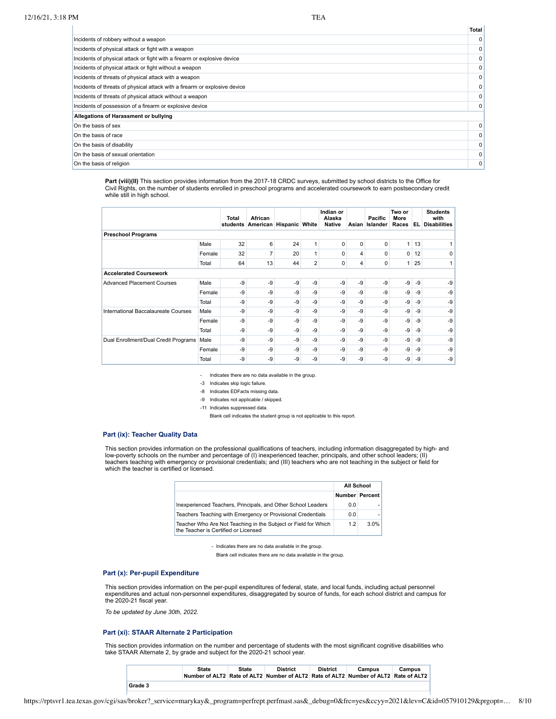**Total**

| Incidents of robbery without a weapon                                      | $\mathbf{0}$ |
|----------------------------------------------------------------------------|--------------|
| Incidents of physical attack or fight with a weapon                        | 0            |
| Incidents of physical attack or fight with a firearm or explosive device   | $\mathbf{0}$ |
| Incidents of physical attack or fight without a weapon                     | 0            |
| Incidents of threats of physical attack with a weapon                      | 0            |
| Incidents of threats of physical attack with a firearm or explosive device | 0            |
| Incidents of threats of physical attack without a weapon                   | 0            |
| Incidents of possession of a firearm or explosive device                   | 0            |
| Allegations of Harassment or bullying                                      |              |
| On the basis of sex                                                        | $\mathbf{0}$ |
| On the basis of race                                                       | 0            |
| On the basis of disability                                                 | 0            |
| On the basis of sexual orientation                                         | 0            |
| On the basis of religion                                                   | 0            |

**Part (viii)(II)** This section provides information from the 2017-18 CRDC surveys, submitted by school districts to the Office for Civil Rights, on the number of students enrolled in preschool programs and accelerated coursework to earn postsecondary credit while still in high school.

|                                      |        | Total<br>students | African<br>American Hispanic White |    |                | Indian or<br>Alaska<br><b>Native</b> | Asian | Pacific<br>Islander | Two or<br>More<br>Races | EL.  | <b>Students</b><br>with<br><b>Disabilities</b> |
|--------------------------------------|--------|-------------------|------------------------------------|----|----------------|--------------------------------------|-------|---------------------|-------------------------|------|------------------------------------------------|
| <b>Preschool Programs</b>            |        |                   |                                    |    |                |                                      |       |                     |                         |      |                                                |
|                                      | Male   | 32                | 6                                  | 24 | 1              | 0                                    | 0     | 0                   | 1                       | 13   |                                                |
|                                      | Female | 32                | 7                                  | 20 | 1              | 0                                    | 4     | 0                   | 0                       | 12   | 0                                              |
|                                      | Total  | 64                | 13                                 | 44 | $\overline{2}$ | 0                                    | 4     | 0                   | 1                       | 25   |                                                |
| <b>Accelerated Coursework</b>        |        |                   |                                    |    |                |                                      |       |                     |                         |      |                                                |
| <b>Advanced Placement Courses</b>    | Male   | -9                | -9                                 | -9 | -9             | -9                                   | -9    | -9                  | -9                      | $-9$ | -9                                             |
|                                      | Female | -9                | $-9$                               | -9 | -9             | $-9$                                 | -9    | -9                  | -9                      | -9   | -9                                             |
|                                      | Total  | -9                | -9                                 | -9 | -9             | $-9$                                 | -9    | -9                  | -9                      | -9   | -9                                             |
| International Baccalaureate Courses  | Male   | -9                | $-9$                               | -9 | -9             | $-9$                                 | -9    | -9                  | -9                      | -9   | -9                                             |
|                                      | Female | -9                | $-9$                               | -9 | -9             | $-9$                                 | -9    | -9                  | -9                      | -9   | -9                                             |
|                                      | Total  | -9                | -9                                 | -9 | -9             | $-9$                                 | -9    | -9                  | -9                      | -9   | $-9$                                           |
| Dual Enrollment/Dual Credit Programs | Male   | -9                | $-9$                               | -9 | -9             | $-9$                                 | -9    | -9                  | -9                      | -9   | -9                                             |
|                                      | Female | -9                | $-9$                               | -9 | -9             | $-9$                                 | -9    | -9                  | -9                      | -9   | -9                                             |
|                                      | Total  | -9                | $-9$                               | -9 | -9             | $-9$                                 | -9    | -9                  | -9                      | -9   | -9                                             |

- Indicates there are no data available in the group.

-3 Indicates skip logic failure.

-8 Indicates EDFacts missing data.

-9 Indicates not applicable / skipped.

-11 Indicates suppressed data.

Blank cell indicates the student group is not applicable to this report.

# **Part (ix): Teacher Quality Data**

This section provides information on the professional qualifications of teachers, including information disaggregated by high- and low-poverty schools on the number and percentage of (I) inexperienced teacher, principals, and other school leaders; (II) teachers teaching with emergency or provisional credentials; and (III) teachers who are not teaching in the subject or field for which the teacher is certified or licensed.

|                                                                                                        | All School |                       |  |
|--------------------------------------------------------------------------------------------------------|------------|-----------------------|--|
|                                                                                                        |            | <b>Number Percent</b> |  |
| Inexperienced Teachers, Principals, and Other School Leaders                                           | 0.0        |                       |  |
| Teachers Teaching with Emergency or Provisional Credentials                                            | 0.0        |                       |  |
| Teacher Who Are Not Teaching in the Subject or Field for Which<br>the Teacher is Certified or Licensed | 1.2        | 3.0%                  |  |

- Indicates there are no data available in the group.

Blank cell indicates there are no data available in the group.

## **Part (x): Per-pupil Expenditure**

This section provides information on the per-pupil expenditures of federal, state, and local funds, including actual personnel expenditures and actual non-personnel expenditures, disaggregated by source of funds, for each school district and campus for the 2020-21 fiscal year.

*To be updated by June 30th, 2022.*

## **Part (xi): STAAR Alternate 2 Participation**

This section provides information on the number and percentage of students with the most significant cognitive disabilities who take STAAR Alternate 2, by grade and subject for the 2020-21 school year.

|         | State | State | <b>District</b><br>Number of ALT2 Rate of ALT2 Number of ALT2 Rate of ALT2 Number of ALT2 Rate of ALT2 | <b>District</b> | Campus | Campus |
|---------|-------|-------|--------------------------------------------------------------------------------------------------------|-----------------|--------|--------|
| Grade 3 |       |       |                                                                                                        |                 |        |        |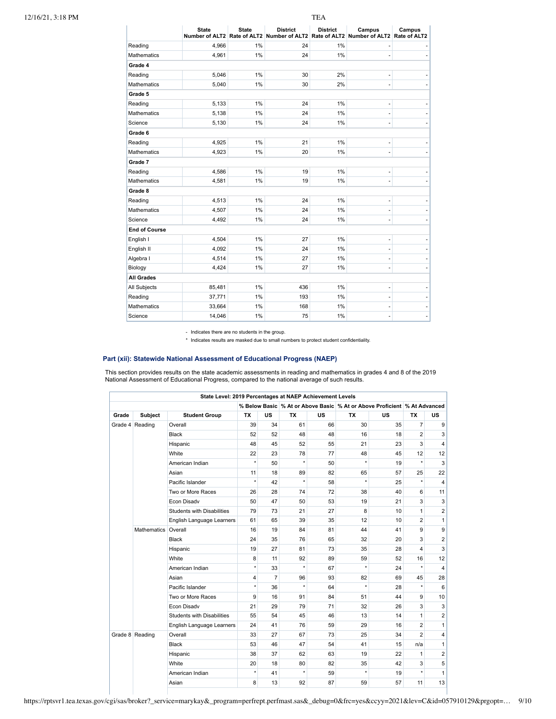|                      | <b>State</b> | <b>State</b> | <b>District</b><br>Number of ALT2 Rate of ALT2 Number of ALT2 Rate of ALT2 | <b>District</b> | Campus<br>Number of ALT2 | Campus<br>Rate of ALT2   |
|----------------------|--------------|--------------|----------------------------------------------------------------------------|-----------------|--------------------------|--------------------------|
| Reading              | 4,966        | 1%           | 24                                                                         | 1%              |                          |                          |
| <b>Mathematics</b>   | 4.961        | 1%           | 24                                                                         | 1%              | $\overline{\phantom{m}}$ |                          |
| Grade 4              |              |              |                                                                            |                 |                          |                          |
| Reading              | 5,046        | 1%           | 30                                                                         | 2%              | ٠                        |                          |
| <b>Mathematics</b>   | 5,040        | 1%           | 30                                                                         | 2%              | $\overline{\phantom{m}}$ |                          |
| Grade 5              |              |              |                                                                            |                 |                          |                          |
| Reading              | 5,133        | 1%           | 24                                                                         | 1%              | $\overline{\phantom{m}}$ |                          |
| <b>Mathematics</b>   | 5,138        | 1%           | 24                                                                         | 1%              | ٠                        |                          |
| Science              | 5,130        | 1%           | 24                                                                         | 1%              | $\overline{\phantom{m}}$ |                          |
| Grade 6              |              |              |                                                                            |                 |                          |                          |
| Reading              | 4,925        | 1%           | 21                                                                         | 1%              | $\overline{\phantom{m}}$ |                          |
| <b>Mathematics</b>   | 4,923        | 1%           | 20                                                                         | 1%              | ٠                        |                          |
| Grade 7              |              |              |                                                                            |                 |                          |                          |
| Reading              | 4,586        | 1%           | 19                                                                         | 1%              | $\overline{\phantom{m}}$ |                          |
| Mathematics          | 4,581        | 1%           | 19                                                                         | 1%              | $\overline{\phantom{m}}$ |                          |
| Grade 8              |              |              |                                                                            |                 |                          |                          |
| Reading              | 4,513        | 1%           | 24                                                                         | 1%              | ٠                        |                          |
| <b>Mathematics</b>   | 4,507        | 1%           | 24                                                                         | 1%              | $\overline{\phantom{m}}$ |                          |
| Science              | 4,492        | 1%           | 24                                                                         | 1%              | $\overline{\phantom{m}}$ | ٠                        |
| <b>End of Course</b> |              |              |                                                                            |                 |                          |                          |
| English I            | 4,504        | 1%           | 27                                                                         | 1%              | $\overline{\phantom{m}}$ |                          |
| English II           | 4,092        | 1%           | 24                                                                         | 1%              | $\overline{\phantom{m}}$ |                          |
| Algebra I            | 4,514        | 1%           | 27                                                                         | 1%              | ٠                        | ٠                        |
| Biology              | 4,424        | 1%           | 27                                                                         | 1%              | $\overline{\phantom{m}}$ | $\overline{a}$           |
| <b>All Grades</b>    |              |              |                                                                            |                 |                          |                          |
| All Subjects         | 85,481       | 1%           | 436                                                                        | 1%              | $\overline{\phantom{m}}$ |                          |
| Reading              | 37,771       | 1%           | 193                                                                        | 1%              | $\overline{\phantom{m}}$ |                          |
| <b>Mathematics</b>   | 33,664       | 1%           | 168                                                                        | 1%              |                          |                          |
| Science              | 14,046       | 1%           | 75                                                                         | 1%              | ٠                        | $\overline{\phantom{m}}$ |

- Indicates there are no students in the group.

\* Indicates results are masked due to small numbers to protect student confidentiality.

# **Part (xii): Statewide National Assessment of Educational Progress (NAEP)**

This section provides results on the state academic assessments in reading and mathematics in grades 4 and 8 of the 2019<br>National Assessment of Educational Progress, compared to the national average of such results.

|       |                 | State Level: 2019 Percentages at NAEP Achievement Levels |           |                |           |           |           |                                                                          |                |                         |
|-------|-----------------|----------------------------------------------------------|-----------|----------------|-----------|-----------|-----------|--------------------------------------------------------------------------|----------------|-------------------------|
|       |                 |                                                          |           |                |           |           |           | % Below Basic % At or Above Basic % At or Above Proficient % At Advanced |                |                         |
| Grade | <b>Subject</b>  | <b>Student Group</b>                                     | <b>TX</b> | <b>US</b>      | <b>TX</b> | <b>US</b> | <b>TX</b> | <b>US</b>                                                                | <b>TX</b>      | <b>US</b>               |
|       | Grade 4 Reading | Overall                                                  | 39        | 34             | 61        | 66        | 30        | 35                                                                       | $\overline{7}$ | 9                       |
|       |                 | <b>Black</b>                                             | 52        | 52             | 48        | 48        | 16        | 18                                                                       | $\overline{2}$ | 3                       |
|       |                 | Hispanic                                                 | 48        | 45             | 52        | 55        | 21        | 23                                                                       | 3              | $\overline{\mathbf{4}}$ |
|       |                 | White                                                    | 22        | 23             | 78        | 77        | 48        | 45                                                                       | 12             | 12                      |
|       |                 | American Indian                                          | $^\star$  | 50             | $\star$   | 50        | $\star$   | 19                                                                       | $\star$        | 3                       |
|       |                 | Asian                                                    | 11        | 18             | 89        | 82        | 65        | 57                                                                       | 25             | 22                      |
|       |                 | Pacific Islander                                         | $\star$   | 42             | $\star$   | 58        | $\star$   | 25                                                                       | $\star$        | $\overline{\mathbf{4}}$ |
|       |                 | Two or More Races                                        | 26        | 28             | 74        | 72        | 38        | 40                                                                       | 6              | 11                      |
|       |                 | Econ Disadv                                              | 50        | 47             | 50        | 53        | 19        | 21                                                                       | 3              | 3                       |
|       |                 | <b>Students with Disabilities</b>                        | 79        | 73             | 21        | 27        | 8         | 10                                                                       | $\mathbf{1}$   | $\overline{2}$          |
|       |                 | English Language Learners                                | 61        | 65             | 39        | 35        | 12        | 10                                                                       | $\overline{2}$ | $\mathbf{1}$            |
|       | Mathematics     | Overall                                                  | 16        | 19             | 84        | 81        | 44        | 41                                                                       | 9              | 9                       |
|       |                 | <b>Black</b>                                             | 24        | 35             | 76        | 65        | 32        | 20                                                                       | 3              | $\overline{c}$          |
|       |                 | Hispanic                                                 | 19        | 27             | 81        | 73        | 35        | 28                                                                       | 4              | 3                       |
|       |                 | White                                                    | 8         | 11             | 92        | 89        | 59        | 52                                                                       | 16             | 12                      |
|       |                 | American Indian                                          | $\star$   | 33             | $\star$   | 67        | $\star$   | 24                                                                       | $\star$        | $\overline{\mathbf{4}}$ |
|       |                 | Asian                                                    | 4         | $\overline{7}$ | 96        | 93        | 82        | 69                                                                       | 45             | 28                      |
|       |                 | Pacific Islander                                         | $\star$   | 36             | $\star$   | 64        | $\star$   | 28                                                                       | $\star$        | 6                       |
|       |                 | Two or More Races                                        | 9         | 16             | 91        | 84        | 51        | 44                                                                       | 9              | 10                      |
|       |                 | Econ Disadv                                              | 21        | 29             | 79        | 71        | 32        | 26                                                                       | 3              | 3                       |
|       |                 | <b>Students with Disabilities</b>                        | 55        | 54             | 45        | 46        | 13        | 14                                                                       | $\mathbf{1}$   | $\overline{2}$          |
|       |                 | English Language Learners                                | 24        | 41             | 76        | 59        | 29        | 16                                                                       | $\overline{2}$ | 1                       |
|       | Grade 8 Reading | Overall                                                  | 33        | 27             | 67        | 73        | 25        | 34                                                                       | $\overline{2}$ | $\overline{\mathbf{4}}$ |
|       |                 | <b>Black</b>                                             | 53        | 46             | 47        | 54        | 41        | 15                                                                       | n/a            | $\mathbf{1}$            |
|       |                 | Hispanic                                                 | 38        | 37             | 62        | 63        | 19        | 22                                                                       | $\mathbf{1}$   | $\overline{2}$          |
|       |                 | White                                                    | 20        | 18             | 80        | 82        | 35        | 42                                                                       | 3              | 5                       |
|       |                 | American Indian                                          | $\star$   | 41             | $\star$   | 59        | $\star$   | 19                                                                       | ÷              | $\mathbf{1}$            |
|       |                 | Asian                                                    | 8         | 13             | 92        | 87        | 59        | 57                                                                       | 11             | 13                      |